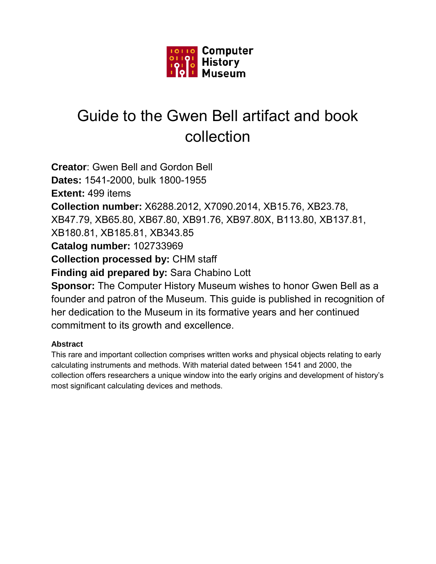

# Guide to the Gwen Bell artifact and book collection

**Creator**: Gwen Bell and Gordon Bell **Dates:** 1541-2000, bulk 1800-1955 **Extent:** 499 items **Collection number:** X6288.2012, X7090.2014, XB15.76, XB23.78, XB47.79, XB65.80, XB67.80, XB91.76, XB97.80X, B113.80, XB137.81, XB180.81, XB185.81, XB343.85 **Catalog number:** 102733969 **Collection processed by:** CHM staff **Finding aid prepared by:** Sara Chabino Lott **Sponsor:** The Computer History Museum wishes to honor Gwen Bell as a

founder and patron of the Museum. This guide is published in recognition of her dedication to the Museum in its formative years and her continued commitment to its growth and excellence.

# **Abstract**

This rare and important collection comprises written works and physical objects relating to early calculating instruments and methods. With material dated between 1541 and 2000, the collection offers researchers a unique window into the early origins and development of history's most significant calculating devices and methods.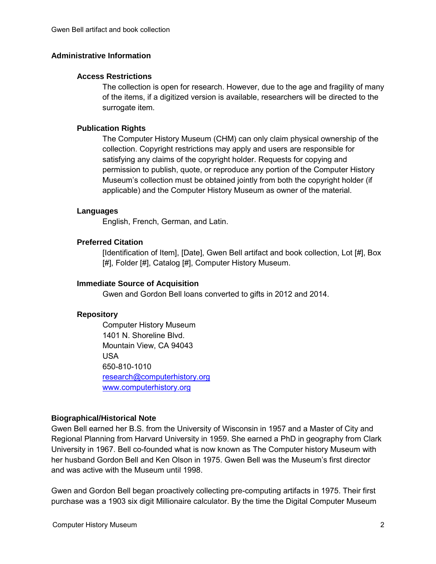# **Administrative Information**

#### **Access Restrictions**

The collection is open for research. However, due to the age and fragility of many of the items, if a digitized version is available, researchers will be directed to the surrogate item.

#### **Publication Rights**

The Computer History Museum (CHM) can only claim physical ownership of the collection. Copyright restrictions may apply and users are responsible for satisfying any claims of the copyright holder. Requests for copying and permission to publish, quote, or reproduce any portion of the Computer History Museum's collection must be obtained jointly from both the copyright holder (if applicable) and the Computer History Museum as owner of the material.

#### **Languages**

English, French, German, and Latin.

# **Preferred Citation**

[Identification of Item], [Date], Gwen Bell artifact and book collection, Lot [#], Box [#], Folder [#], Catalog [#], Computer History Museum.

#### **Immediate Source of Acquisition**

Gwen and Gordon Bell loans converted to gifts in 2012 and 2014.

# **Repository**

Computer History Museum 1401 N. Shoreline Blvd. Mountain View, CA 94043 USA 650-810-1010 [research@computerhistory.org](mailto:research@computerhistory.org)  [www.computerhistory.org](http://www.computerhistory.org/)

# **Biographical/Historical Note**

Gwen Bell earned her B.S. from the University of Wisconsin in 1957 and a Master of City and Regional Planning from Harvard University in 1959. She earned a PhD in geography from Clark University in 1967. Bell co-founded what is now known as The Computer history Museum with her husband Gordon Bell and Ken Olson in 1975. Gwen Bell was the Museum's first director and was active with the Museum until 1998.

Gwen and Gordon Bell began proactively collecting pre-computing artifacts in 1975. Their first purchase was a 1903 six digit Millionaire calculator. By the time the Digital Computer Museum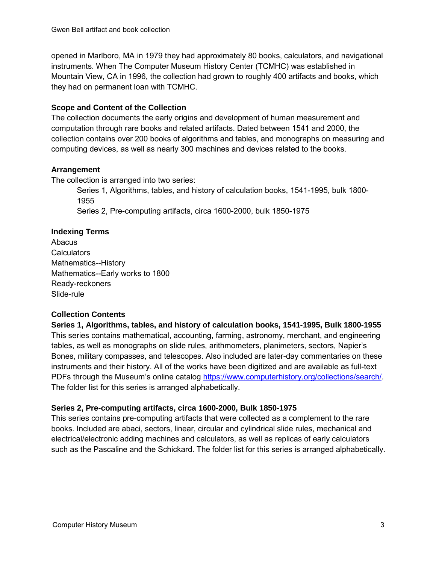opened in Marlboro, MA in 1979 they had approximately 80 books, calculators, and navigational instruments. When The Computer Museum History Center (TCMHC) was established in Mountain View, CA in 1996, the collection had grown to roughly 400 artifacts and books, which they had on permanent loan with TCMHC.

# **Scope and Content of the Collection**

The collection documents the early origins and development of human measurement and computation through rare books and related artifacts. Dated between 1541 and 2000, the collection contains over 200 books of algorithms and tables, and monographs on measuring and computing devices, as well as nearly 300 machines and devices related to the books.

# **Arrangement**

The collection is arranged into two series:

Series 1, Algorithms, tables, and history of calculation books, 1541-1995, bulk 1800- 1955 Series 2, Pre-computing artifacts, circa 1600-2000, bulk 1850-1975

# **Indexing Terms**

Abacus **Calculators** Mathematics--History Mathematics--Early works to 1800 Ready-reckoners Slide-rule

# **Collection Contents**

**Series 1, Algorithms, tables, and history of calculation books, 1541-1995, Bulk 1800-1955** This series contains mathematical, accounting, farming, astronomy, merchant, and engineering tables, as well as monographs on slide rules, arithmometers, planimeters, sectors, Napier's Bones, military compasses, and telescopes. Also included are later-day commentaries on these instruments and their history. All of the works have been digitized and are available as full-text PDFs through the Museum's online catalog [https://www.computerhistory.org/collections/search/.](https://www.computerhistory.org/collections/search/) The folder list for this series is arranged alphabetically.

# **Series 2, Pre-computing artifacts, circa 1600-2000, Bulk 1850-1975**

This series contains pre-computing artifacts that were collected as a complement to the rare books. Included are abaci, sectors, linear, circular and cylindrical slide rules, mechanical and electrical/electronic adding machines and calculators, as well as replicas of early calculators such as the Pascaline and the Schickard. The folder list for this series is arranged alphabetically.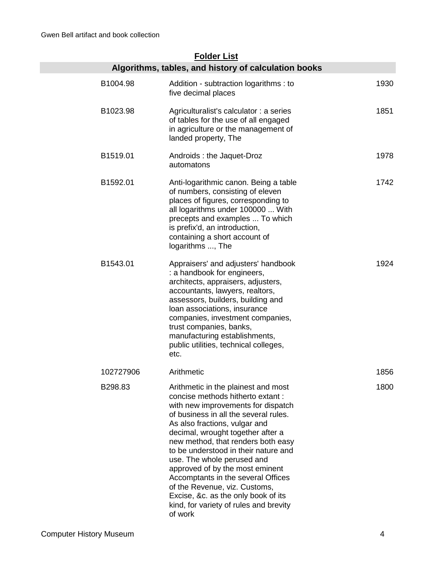# **Folder List**

|                      | Algorithms, tables, and history of calculation books                                                                                                                                                                                                                                                                                                                                                                                                                                                                                           |      |
|----------------------|------------------------------------------------------------------------------------------------------------------------------------------------------------------------------------------------------------------------------------------------------------------------------------------------------------------------------------------------------------------------------------------------------------------------------------------------------------------------------------------------------------------------------------------------|------|
| B1004.98             | Addition - subtraction logarithms : to<br>five decimal places                                                                                                                                                                                                                                                                                                                                                                                                                                                                                  | 1930 |
| B1023.98             | Agriculturalist's calculator : a series<br>of tables for the use of all engaged<br>in agriculture or the management of<br>landed property, The                                                                                                                                                                                                                                                                                                                                                                                                 | 1851 |
| B1519.01             | Androids: the Jaquet-Droz<br>automatons                                                                                                                                                                                                                                                                                                                                                                                                                                                                                                        | 1978 |
| B1592.01             | Anti-logarithmic canon. Being a table<br>of numbers, consisting of eleven<br>places of figures, corresponding to<br>all logarithms under 100000  With<br>precepts and examples  To which<br>is prefix'd, an introduction,<br>containing a short account of<br>logarithms , The                                                                                                                                                                                                                                                                 | 1742 |
| B <sub>1543.01</sub> | Appraisers' and adjusters' handbook<br>: a handbook for engineers,<br>architects, appraisers, adjusters,<br>accountants, lawyers, realtors,<br>assessors, builders, building and<br>loan associations, insurance<br>companies, investment companies,<br>trust companies, banks,<br>manufacturing establishments,<br>public utilities, technical colleges,<br>etc.                                                                                                                                                                              | 1924 |
| 102727906            | Arithmetic                                                                                                                                                                                                                                                                                                                                                                                                                                                                                                                                     | 1856 |
| B298.83              | Arithmetic in the plainest and most<br>concise methods hitherto extant:<br>with new improvements for dispatch<br>of business in all the several rules.<br>As also fractions, vulgar and<br>decimal, wrought together after a<br>new method, that renders both easy<br>to be understood in their nature and<br>use. The whole perused and<br>approved of by the most eminent<br>Accomptants in the several Offices<br>of the Revenue, viz. Customs,<br>Excise, &c. as the only book of its<br>kind, for variety of rules and brevity<br>of work | 1800 |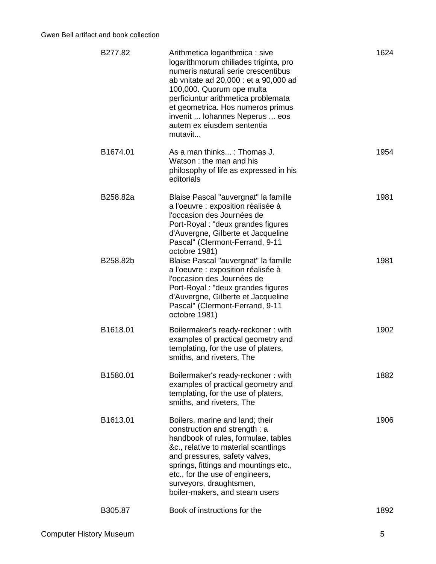| B277.82  | Arithmetica logarithmica : sive<br>logarithmorum chiliades triginta, pro<br>numeris naturali serie crescentibus<br>ab vnitate ad 20,000 : et a 90,000 ad<br>100,000. Quorum ope multa<br>perficiuntur arithmetica problemata<br>et geometrica. Hos numeros primus<br>invenit  Iohannes Neperus  eos<br>autem ex eiusdem sententia<br>mutavit | 1624 |
|----------|----------------------------------------------------------------------------------------------------------------------------------------------------------------------------------------------------------------------------------------------------------------------------------------------------------------------------------------------|------|
| B1674.01 | As a man thinks: Thomas J.<br>Watson: the man and his<br>philosophy of life as expressed in his<br>editorials                                                                                                                                                                                                                                | 1954 |
| B258.82a | Blaise Pascal "auvergnat" la famille<br>a l'oeuvre : exposition réalisée à<br>l'occasion des Journées de<br>Port-Royal: "deux grandes figures<br>d'Auvergne, Gilberte et Jacqueline<br>Pascal" (Clermont-Ferrand, 9-11<br>octobre 1981)                                                                                                      | 1981 |
| B258.82b | Blaise Pascal "auvergnat" la famille<br>a l'oeuvre : exposition réalisée à<br>l'occasion des Journées de<br>Port-Royal : "deux grandes figures<br>d'Auvergne, Gilberte et Jacqueline<br>Pascal" (Clermont-Ferrand, 9-11<br>octobre 1981)                                                                                                     | 1981 |
| B1618.01 | Boilermaker's ready-reckoner: with<br>examples of practical geometry and<br>templating, for the use of platers,<br>smiths, and riveters, The                                                                                                                                                                                                 | 1902 |
| B1580.01 | Boilermaker's ready-reckoner: with<br>examples of practical geometry and<br>templating, for the use of platers,<br>smiths, and riveters, The                                                                                                                                                                                                 | 1882 |
| B1613.01 | Boilers, marine and land; their<br>construction and strength : a<br>handbook of rules, formulae, tables<br>&c., relative to material scantlings<br>and pressures, safety valves,<br>springs, fittings and mountings etc.,<br>etc., for the use of engineers,<br>surveyors, draughtsmen,<br>boiler-makers, and steam users                    | 1906 |
| B305.87  | Book of instructions for the                                                                                                                                                                                                                                                                                                                 | 1892 |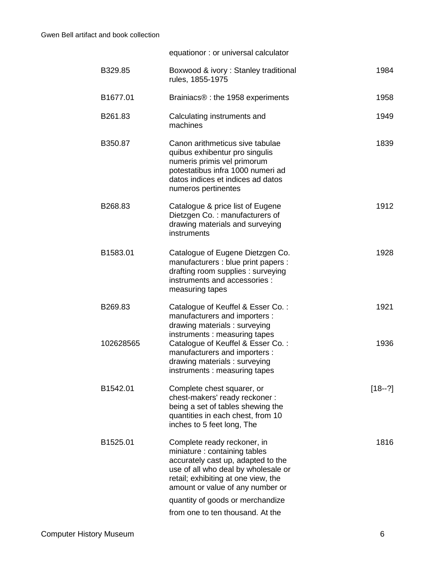|           | equationor: or universal calculator                                                                                                                                                                                  |          |
|-----------|----------------------------------------------------------------------------------------------------------------------------------------------------------------------------------------------------------------------|----------|
| B329.85   | Boxwood & ivory: Stanley traditional<br>rules, 1855-1975                                                                                                                                                             | 1984     |
| B1677.01  | Brainiacs <sup>®</sup> : the 1958 experiments                                                                                                                                                                        | 1958     |
| B261.83   | Calculating instruments and<br>machines                                                                                                                                                                              | 1949     |
| B350.87   | Canon arithmeticus sive tabulae<br>quibus exhibentur pro singulis<br>numeris primis vel primorum<br>potestatibus infra 1000 numeri ad<br>datos indices et indices ad datos<br>numeros pertinentes                    | 1839     |
| B268.83   | Catalogue & price list of Eugene<br>Dietzgen Co.: manufacturers of<br>drawing materials and surveying<br>instruments                                                                                                 | 1912     |
| B1583.01  | Catalogue of Eugene Dietzgen Co.<br>manufacturers : blue print papers :<br>drafting room supplies : surveying<br>instruments and accessories :<br>measuring tapes                                                    | 1928     |
| B269.83   | Catalogue of Keuffel & Esser Co.:<br>manufacturers and importers :<br>drawing materials: surveying                                                                                                                   | 1921     |
| 102628565 | instruments: measuring tapes<br>Catalogue of Keuffel & Esser Co.:<br>manufacturers and importers :<br>drawing materials: surveying<br>instruments: measuring tapes                                                   | 1936     |
| B1542.01  | Complete chest squarer, or<br>chest-makers' ready reckoner :<br>being a set of tables shewing the<br>quantities in each chest, from 10<br>inches to 5 feet long, The                                                 | $[18-?]$ |
| B1525.01  | Complete ready reckoner, in<br>miniature : containing tables<br>accurately cast up, adapted to the<br>use of all who deal by wholesale or<br>retail; exhibiting at one view, the<br>amount or value of any number or | 1816     |
|           | quantity of goods or merchandize<br>from one to ten thousand. At the                                                                                                                                                 |          |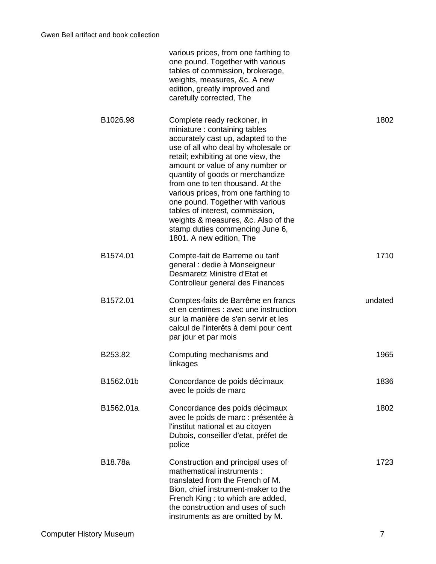|           | various prices, from one farthing to<br>one pound. Together with various<br>tables of commission, brokerage,<br>weights, measures, &c. A new<br>edition, greatly improved and<br>carefully corrected, The                                                                                                                                                                                                                                                                                                        |         |
|-----------|------------------------------------------------------------------------------------------------------------------------------------------------------------------------------------------------------------------------------------------------------------------------------------------------------------------------------------------------------------------------------------------------------------------------------------------------------------------------------------------------------------------|---------|
| B1026.98  | Complete ready reckoner, in<br>miniature: containing tables<br>accurately cast up, adapted to the<br>use of all who deal by wholesale or<br>retail; exhibiting at one view, the<br>amount or value of any number or<br>quantity of goods or merchandize<br>from one to ten thousand. At the<br>various prices, from one farthing to<br>one pound. Together with various<br>tables of interest, commission,<br>weights & measures, &c. Also of the<br>stamp duties commencing June 6,<br>1801. A new edition, The | 1802    |
| B1574.01  | Compte-fait de Barreme ou tarif<br>general : dedie à Monseigneur<br>Desmaretz Ministre d'Etat et<br>Controlleur general des Finances                                                                                                                                                                                                                                                                                                                                                                             | 1710    |
| B1572.01  | Comptes-faits de Barrême en francs<br>et en centimes : avec une instruction<br>sur la manière de s'en servir et les<br>calcul de l'interêts à demi pour cent<br>par jour et par mois                                                                                                                                                                                                                                                                                                                             | undated |
| B253.82   | Computing mechanisms and<br>linkages                                                                                                                                                                                                                                                                                                                                                                                                                                                                             | 1965    |
| B1562.01b | Concordance de poids décimaux<br>avec le poids de marc                                                                                                                                                                                                                                                                                                                                                                                                                                                           | 1836    |
| B1562.01a | Concordance des poids décimaux<br>avec le poids de marc : présentée à<br>l'institut national et au citoyen<br>Dubois, conseiller d'etat, préfet de<br>police                                                                                                                                                                                                                                                                                                                                                     | 1802    |
| B18.78a   | Construction and principal uses of<br>mathematical instruments :<br>translated from the French of M.<br>Bion, chief instrument-maker to the<br>French King: to which are added,<br>the construction and uses of such<br>instruments as are omitted by M.                                                                                                                                                                                                                                                         | 1723    |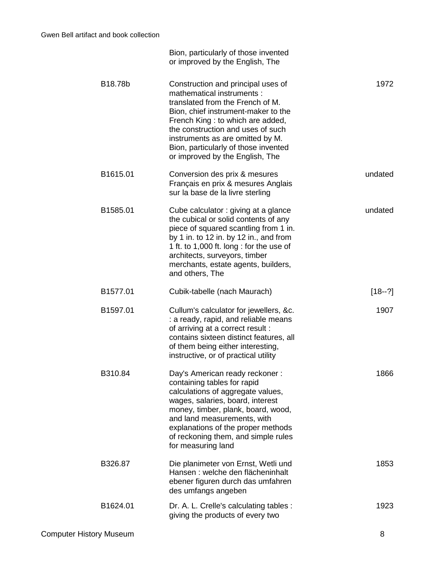|          | Bion, particularly of those invented<br>or improved by the English, The                                                                                                                                                                                                                                                             |          |
|----------|-------------------------------------------------------------------------------------------------------------------------------------------------------------------------------------------------------------------------------------------------------------------------------------------------------------------------------------|----------|
| 1972     | Construction and principal uses of<br>mathematical instruments :<br>translated from the French of M.<br>Bion, chief instrument-maker to the<br>French King: to which are added,<br>the construction and uses of such<br>instruments as are omitted by M.<br>Bion, particularly of those invented<br>or improved by the English, The | B18.78b  |
| undated  | Conversion des prix & mesures<br>Français en prix & mesures Anglais<br>sur la base de la livre sterling                                                                                                                                                                                                                             | B1615.01 |
| undated  | Cube calculator: giving at a glance<br>the cubical or solid contents of any<br>piece of squared scantling from 1 in.<br>by 1 in. to 12 in. by 12 in., and from<br>1 ft. to 1,000 ft. long : for the use of<br>architects, surveyors, timber<br>merchants, estate agents, builders,<br>and others, The                               | B1585.01 |
| $[18-2]$ | Cubik-tabelle (nach Maurach)                                                                                                                                                                                                                                                                                                        | B1577.01 |
| 1907     | Cullum's calculator for jewellers, &c.<br>: a ready, rapid, and reliable means<br>of arriving at a correct result :<br>contains sixteen distinct features, all<br>of them being either interesting,<br>instructive, or of practical utility                                                                                         | B1597.01 |
| 1866     | Day's American ready reckoner:<br>containing tables for rapid<br>calculations of aggregate values,<br>wages, salaries, board, interest<br>money, timber, plank, board, wood,<br>and land measurements, with<br>explanations of the proper methods<br>of reckoning them, and simple rules<br>for measuring land                      | B310.84  |
| 1853     | Die planimeter von Ernst, Wetli und<br>Hansen: welche den flächeninhalt<br>ebener figuren durch das umfahren<br>des umfangs angeben                                                                                                                                                                                                 | B326.87  |
| 1923     | Dr. A. L. Crelle's calculating tables :<br>giving the products of every two                                                                                                                                                                                                                                                         | B1624.01 |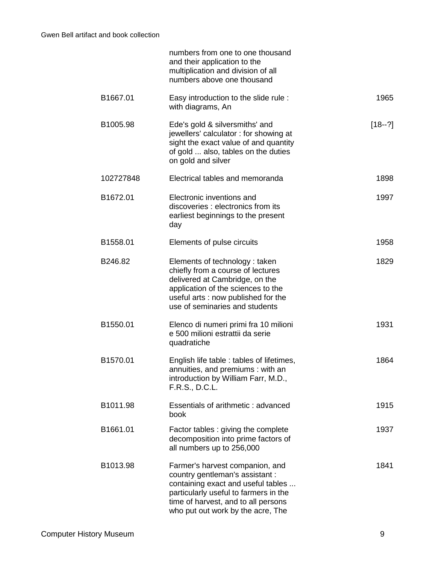|          |           | numbers from one to one thousand<br>and their application to the<br>multiplication and division of all<br>numbers above one thousand                                                                                          |            |
|----------|-----------|-------------------------------------------------------------------------------------------------------------------------------------------------------------------------------------------------------------------------------|------------|
| B1667.01 |           | Easy introduction to the slide rule:<br>with diagrams, An                                                                                                                                                                     | 1965       |
| B1005.98 |           | Ede's gold & silversmiths' and<br>jewellers' calculator: for showing at<br>sight the exact value of and quantity<br>of gold  also, tables on the duties<br>on gold and silver                                                 | $[18 - ?]$ |
|          | 102727848 | Electrical tables and memoranda                                                                                                                                                                                               | 1898       |
| B1672.01 |           | Electronic inventions and<br>discoveries : electronics from its<br>earliest beginnings to the present<br>day                                                                                                                  | 1997       |
| B1558.01 |           | Elements of pulse circuits                                                                                                                                                                                                    | 1958       |
| B246.82  |           | Elements of technology: taken<br>chiefly from a course of lectures<br>delivered at Cambridge, on the<br>application of the sciences to the<br>useful arts : now published for the<br>use of seminaries and students           | 1829       |
| B1550.01 |           | Elenco di numeri primi fra 10 milioni<br>e 500 milioni estrattii da serie<br>quadratiche                                                                                                                                      | 1931       |
| B1570.01 |           | English life table : tables of lifetimes,<br>annuities, and premiums: with an<br>introduction by William Farr, M.D.,<br>F.R.S., D.C.L.                                                                                        | 1864       |
| B1011.98 |           | Essentials of arithmetic: advanced<br>book                                                                                                                                                                                    | 1915       |
| B1661.01 |           | Factor tables : giving the complete<br>decomposition into prime factors of<br>all numbers up to 256,000                                                                                                                       | 1937       |
| B1013.98 |           | Farmer's harvest companion, and<br>country gentleman's assistant :<br>containing exact and useful tables<br>particularly useful to farmers in the<br>time of harvest, and to all persons<br>who put out work by the acre, The | 1841       |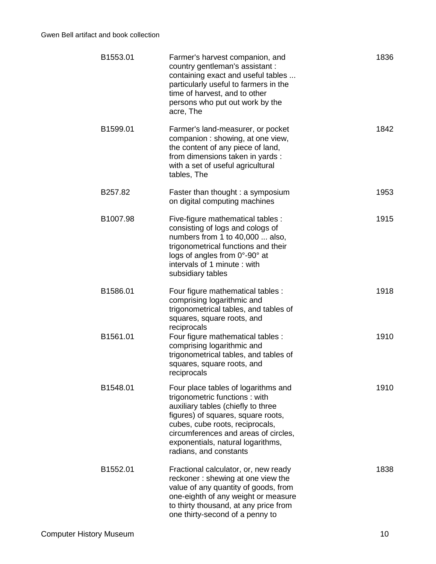| B1553.01 | Farmer's harvest companion, and<br>country gentleman's assistant :<br>containing exact and useful tables<br>particularly useful to farmers in the<br>time of harvest, and to other<br>persons who put out work by the<br>acre, The                                                         | 1836 |
|----------|--------------------------------------------------------------------------------------------------------------------------------------------------------------------------------------------------------------------------------------------------------------------------------------------|------|
| B1599.01 | Farmer's land-measurer, or pocket<br>companion : showing, at one view,<br>the content of any piece of land,<br>from dimensions taken in yards :<br>with a set of useful agricultural<br>tables, The                                                                                        | 1842 |
| B257.82  | Faster than thought : a symposium<br>on digital computing machines                                                                                                                                                                                                                         | 1953 |
| B1007.98 | Five-figure mathematical tables :<br>consisting of logs and cologs of<br>numbers from 1 to 40,000  also,<br>trigonometrical functions and their<br>logs of angles from 0°-90° at<br>intervals of 1 minute: with<br>subsidiary tables                                                       | 1915 |
| B1586.01 | Four figure mathematical tables :<br>comprising logarithmic and<br>trigonometrical tables, and tables of<br>squares, square roots, and<br>reciprocals                                                                                                                                      | 1918 |
| B1561.01 | Four figure mathematical tables :<br>comprising logarithmic and<br>trigonometrical tables, and tables of<br>squares, square roots, and<br>reciprocals                                                                                                                                      | 1910 |
| B1548.01 | Four place tables of logarithms and<br>trigonometric functions: with<br>auxiliary tables (chiefly to three<br>figures) of squares, square roots,<br>cubes, cube roots, reciprocals,<br>circumferences and areas of circles,<br>exponentials, natural logarithms,<br>radians, and constants | 1910 |
| B1552.01 | Fractional calculator, or, new ready<br>reckoner: shewing at one view the<br>value of any quantity of goods, from<br>one-eighth of any weight or measure<br>to thirty thousand, at any price from<br>one thirty-second of a penny to                                                       | 1838 |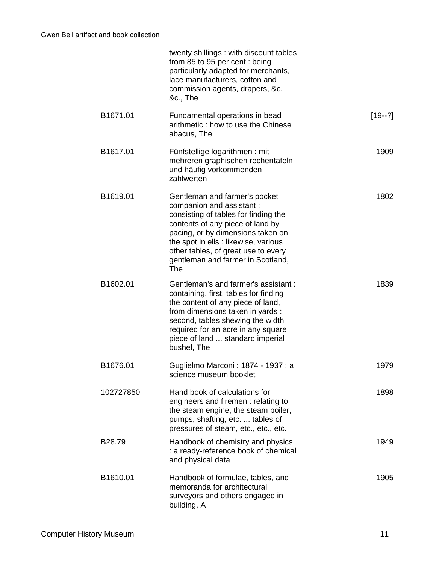|           | twenty shillings: with discount tables<br>from 85 to 95 per cent : being<br>particularly adapted for merchants,<br>lace manufacturers, cotton and<br>commission agents, drapers, &c.<br>&c., The                                                                                                              |          |
|-----------|---------------------------------------------------------------------------------------------------------------------------------------------------------------------------------------------------------------------------------------------------------------------------------------------------------------|----------|
| B1671.01  | Fundamental operations in bead<br>arithmetic: how to use the Chinese<br>abacus, The                                                                                                                                                                                                                           | $[19-2]$ |
| B1617.01  | Fünfstellige logarithmen: mit<br>mehreren graphischen rechentafeln<br>und häufig vorkommenden<br>zahlwerten                                                                                                                                                                                                   | 1909     |
| B1619.01  | Gentleman and farmer's pocket<br>companion and assistant :<br>consisting of tables for finding the<br>contents of any piece of land by<br>pacing, or by dimensions taken on<br>the spot in ells : likewise, various<br>other tables, of great use to every<br>gentleman and farmer in Scotland,<br><b>The</b> | 1802     |
| B1602.01  | Gentleman's and farmer's assistant :<br>containing, first, tables for finding<br>the content of any piece of land,<br>from dimensions taken in yards :<br>second, tables shewing the width<br>required for an acre in any square<br>piece of land  standard imperial<br>bushel, The                           | 1839     |
| B1676.01  | Guglielmo Marconi: 1874 - 1937 : a<br>science museum booklet                                                                                                                                                                                                                                                  | 1979     |
| 102727850 | Hand book of calculations for<br>engineers and firemen: relating to<br>the steam engine, the steam boiler,<br>pumps, shafting, etc.  tables of<br>pressures of steam, etc., etc., etc.                                                                                                                        | 1898     |
| B28.79    | Handbook of chemistry and physics<br>: a ready-reference book of chemical<br>and physical data                                                                                                                                                                                                                | 1949     |
| B1610.01  | Handbook of formulae, tables, and<br>memoranda for architectural<br>surveyors and others engaged in<br>building, A                                                                                                                                                                                            | 1905     |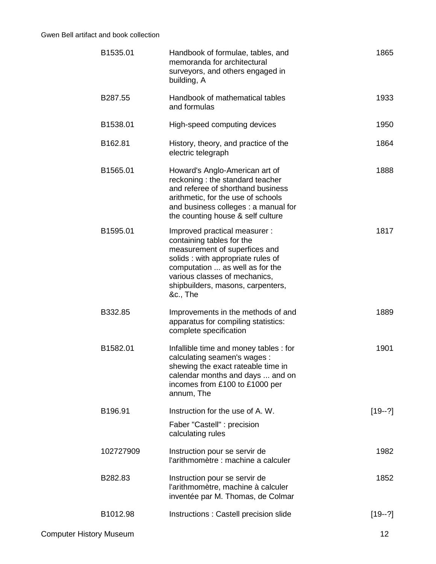| B1535.01  | Handbook of formulae, tables, and<br>memoranda for architectural<br>surveyors, and others engaged in<br>building, A                                                                                                                                   | 1865     |
|-----------|-------------------------------------------------------------------------------------------------------------------------------------------------------------------------------------------------------------------------------------------------------|----------|
| B287.55   | Handbook of mathematical tables<br>and formulas                                                                                                                                                                                                       | 1933     |
| B1538.01  | High-speed computing devices                                                                                                                                                                                                                          | 1950     |
| B162.81   | History, theory, and practice of the<br>electric telegraph                                                                                                                                                                                            | 1864     |
| B1565.01  | Howard's Anglo-American art of<br>reckoning: the standard teacher<br>and referee of shorthand business<br>arithmetic, for the use of schools<br>and business colleges : a manual for<br>the counting house & self culture                             | 1888     |
| B1595.01  | Improved practical measurer :<br>containing tables for the<br>measurement of superfices and<br>solids: with appropriate rules of<br>computation  as well as for the<br>various classes of mechanics,<br>shipbuilders, masons, carpenters,<br>&c., The | 1817     |
| B332.85   | Improvements in the methods of and<br>apparatus for compiling statistics:<br>complete specification                                                                                                                                                   | 1889     |
| B1582.01  | Infallible time and money tables: for<br>calculating seamen's wages :<br>shewing the exact rateable time in<br>calendar months and days  and on<br>incomes from £100 to £1000 per<br>annum, The                                                       | 1901     |
| B196.91   | Instruction for the use of A. W.<br>Faber "Castell" : precision<br>calculating rules                                                                                                                                                                  | $[19-2]$ |
| 102727909 | Instruction pour se servir de<br>l'arithmomètre : machine a calculer                                                                                                                                                                                  | 1982     |
| B282.83   | Instruction pour se servir de<br>l'arithmomètre, machine à calculer<br>inventée par M. Thomas, de Colmar                                                                                                                                              | 1852     |
| B1012.98  | Instructions : Castell precision slide                                                                                                                                                                                                                | $[19-2]$ |
|           |                                                                                                                                                                                                                                                       |          |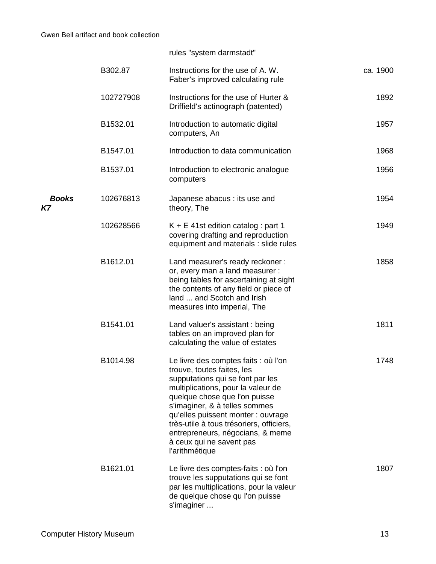|                    |           | rules "system darmstadt"                                                                                                                                                                                                                                                                                                                                                           |          |
|--------------------|-----------|------------------------------------------------------------------------------------------------------------------------------------------------------------------------------------------------------------------------------------------------------------------------------------------------------------------------------------------------------------------------------------|----------|
|                    | B302.87   | Instructions for the use of A. W.<br>Faber's improved calculating rule                                                                                                                                                                                                                                                                                                             | ca. 1900 |
|                    | 102727908 | Instructions for the use of Hurter &<br>Driffield's actinograph (patented)                                                                                                                                                                                                                                                                                                         | 1892     |
|                    | B1532.01  | Introduction to automatic digital<br>computers, An                                                                                                                                                                                                                                                                                                                                 | 1957     |
|                    | B1547.01  | Introduction to data communication                                                                                                                                                                                                                                                                                                                                                 | 1968     |
|                    | B1537.01  | Introduction to electronic analogue<br>computers                                                                                                                                                                                                                                                                                                                                   | 1956     |
| <b>Books</b><br>Κ7 | 102676813 | Japanese abacus : its use and<br>theory, The                                                                                                                                                                                                                                                                                                                                       | 1954     |
|                    | 102628566 | $K + E$ 41st edition catalog : part 1<br>covering drafting and reproduction<br>equipment and materials : slide rules                                                                                                                                                                                                                                                               | 1949     |
|                    | B1612.01  | Land measurer's ready reckoner:<br>or, every man a land measurer :<br>being tables for ascertaining at sight<br>the contents of any field or piece of<br>land  and Scotch and Irish<br>measures into imperial, The                                                                                                                                                                 | 1858     |
|                    | B1541.01  | Land valuer's assistant : being<br>tables on an improved plan for<br>calculating the value of estates                                                                                                                                                                                                                                                                              | 1811     |
|                    | B1014.98  | Le livre des comptes faits : où l'on<br>trouve, toutes faites, les<br>supputations qui se font par les<br>multiplications, pour la valeur de<br>quelque chose que l'on puisse<br>s'imaginer, & à telles sommes<br>qu'elles puissent monter : ouvrage<br>très-utile à tous trésoriers, officiers,<br>entrepreneurs, négocians, & meme<br>à ceux qui ne savent pas<br>l'arithmétique | 1748     |
|                    | B1621.01  | Le livre des comptes-faits : où l'on<br>trouve les supputations qui se font<br>par les multiplications, pour la valeur<br>de quelque chose qu l'on puisse<br>s'imaginer                                                                                                                                                                                                            | 1807     |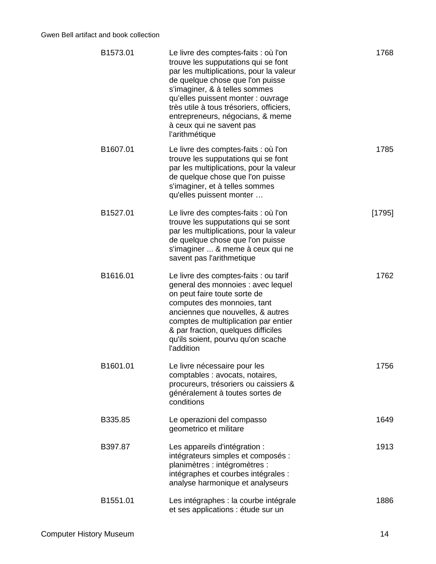| B1573.01 | Le livre des comptes-faits : où l'on<br>trouve les supputations qui se font<br>par les multiplications, pour la valeur<br>de quelque chose que l'on puisse<br>s'imaginer, & à telles sommes<br>qu'elles puissent monter : ouvrage<br>très utile à tous trésoriers, officiers,<br>entrepreneurs, négocians, & meme<br>à ceux qui ne savent pas<br>l'arithmétique | 1768     |
|----------|-----------------------------------------------------------------------------------------------------------------------------------------------------------------------------------------------------------------------------------------------------------------------------------------------------------------------------------------------------------------|----------|
| B1607.01 | Le livre des comptes-faits : où l'on<br>trouve les supputations qui se font<br>par les multiplications, pour la valeur<br>de quelque chose que l'on puisse<br>s'imaginer, et à telles sommes<br>qu'elles puissent monter                                                                                                                                        | 1785     |
| B1527.01 | Le livre des comptes-faits : où l'on<br>trouve les supputations qui se sont<br>par les multiplications, pour la valeur<br>de quelque chose que l'on puisse<br>s'imaginer  & meme à ceux qui ne<br>savent pas l'arithmetique                                                                                                                                     | $[1795]$ |
| B1616.01 | Le livre des comptes-faits : ou tarif<br>general des monnoies : avec lequel<br>on peut faire toute sorte de<br>computes des monnoies, tant<br>anciennes que nouvelles, & autres<br>comptes de multiplication par entier<br>& par fraction, quelques difficiles<br>qu'ils soient, pourvu qu'on scache<br>l'addition                                              | 1762     |
| B1601.01 | Le livre nécessaire pour les<br>comptables : avocats, notaires,<br>procureurs, trésoriers ou caissiers &<br>généralement à toutes sortes de<br>conditions                                                                                                                                                                                                       | 1756     |
| B335.85  | Le operazioni del compasso<br>geometrico et militare                                                                                                                                                                                                                                                                                                            | 1649     |
| B397.87  | Les appareils d'intégration :<br>intégrateurs simples et composés :<br>planimètres : intégromètres :<br>intégraphes et courbes intégrales :<br>analyse harmonique et analyseurs                                                                                                                                                                                 | 1913     |
| B1551.01 | Les intégraphes : la courbe intégrale<br>et ses applications : étude sur un                                                                                                                                                                                                                                                                                     | 1886     |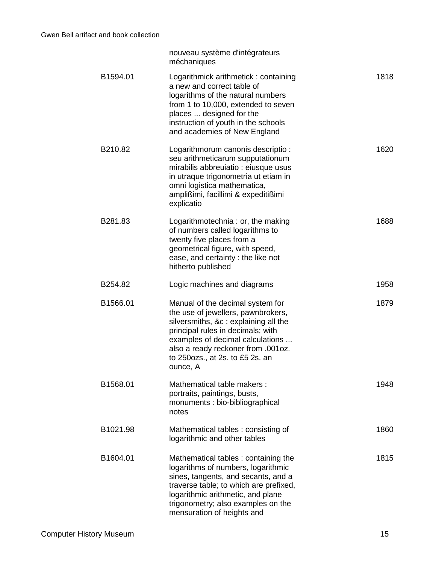|          | nouveau système d'intégrateurs<br>méchaniques                                                                                                                                                                                                                                |      |
|----------|------------------------------------------------------------------------------------------------------------------------------------------------------------------------------------------------------------------------------------------------------------------------------|------|
| B1594.01 | Logarithmick arithmetick: containing<br>a new and correct table of<br>logarithms of the natural numbers<br>from 1 to 10,000, extended to seven<br>places  designed for the<br>instruction of youth in the schools<br>and academies of New England                            | 1818 |
| B210.82  | Logarithmorum canonis descriptio :<br>seu arithmeticarum supputationum<br>mirabilis abbreuiatio : eiusque usus<br>in utraque trigonometria ut etiam in<br>omni logistica mathematica,<br>amplißimi, facillimi & expeditißimi<br>explicatio                                   | 1620 |
| B281.83  | Logarithmotechnia: or, the making<br>of numbers called logarithms to<br>twenty five places from a<br>geometrical figure, with speed,<br>ease, and certainty : the like not<br>hitherto published                                                                             | 1688 |
| B254.82  | Logic machines and diagrams                                                                                                                                                                                                                                                  | 1958 |
| B1566.01 | Manual of the decimal system for<br>the use of jewellers, pawnbrokers,<br>silversmiths, &c: explaining all the<br>principal rules in decimals; with<br>examples of decimal calculations<br>also a ready reckoner from .001oz.<br>to 250ozs., at 2s. to £5 2s. an<br>ounce, A | 1879 |
| B1568.01 | Mathematical table makers:<br>portraits, paintings, busts,<br>monuments : bio-bibliographical<br>notes                                                                                                                                                                       | 1948 |
| B1021.98 | Mathematical tables: consisting of<br>logarithmic and other tables                                                                                                                                                                                                           | 1860 |
| B1604.01 | Mathematical tables: containing the<br>logarithms of numbers, logarithmic<br>sines, tangents, and secants, and a<br>traverse table; to which are prefixed,<br>logarithmic arithmetic, and plane<br>trigonometry; also examples on the<br>mensuration of heights and          | 1815 |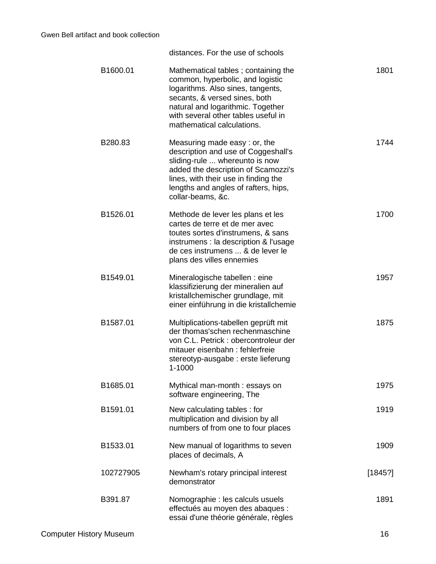distances. For the use of schools

| B1600.01  | Mathematical tables; containing the<br>common, hyperbolic, and logistic<br>logarithms. Also sines, tangents,<br>secants, & versed sines, both<br>natural and logarithmic. Together<br>with several other tables useful in<br>mathematical calculations. | 1801    |
|-----------|---------------------------------------------------------------------------------------------------------------------------------------------------------------------------------------------------------------------------------------------------------|---------|
| B280.83   | Measuring made easy: or, the<br>description and use of Coggeshall's<br>sliding-rule  whereunto is now<br>added the description of Scamozzi's<br>lines, with their use in finding the<br>lengths and angles of rafters, hips,<br>collar-beams, &c.       | 1744    |
| B1526.01  | Methode de lever les plans et les<br>cartes de terre et de mer avec<br>toutes sortes d'instrumens, & sans<br>instrumens : la description & l'usage<br>de ces instrumens  & de lever le<br>plans des villes ennemies                                     | 1700    |
| B1549.01  | Mineralogische tabellen : eine<br>klassifizierung der mineralien auf<br>kristallchemischer grundlage, mit<br>einer einführung in die kristallchemie                                                                                                     | 1957    |
| B1587.01  | Multiplications-tabellen geprüft mit<br>der thomas'schen rechenmaschine<br>von C.L. Petrick : obercontroleur der<br>mitauer eisenbahn: fehlerfreie<br>stereotyp-ausgabe : erste lieferung<br>1-1000                                                     | 1875    |
| B1685.01  | Mythical man-month: essays on<br>software engineering, The                                                                                                                                                                                              | 1975    |
| B1591.01  | New calculating tables: for<br>multiplication and division by all<br>numbers of from one to four places                                                                                                                                                 | 1919    |
| B1533.01  | New manual of logarithms to seven<br>places of decimals, A                                                                                                                                                                                              | 1909    |
| 102727905 | Newham's rotary principal interest<br>demonstrator                                                                                                                                                                                                      | [1845?] |
| B391.87   | Nomographie : les calculs usuels<br>effectués au moyen des abaques :<br>essai d'une théorie générale, règles                                                                                                                                            | 1891    |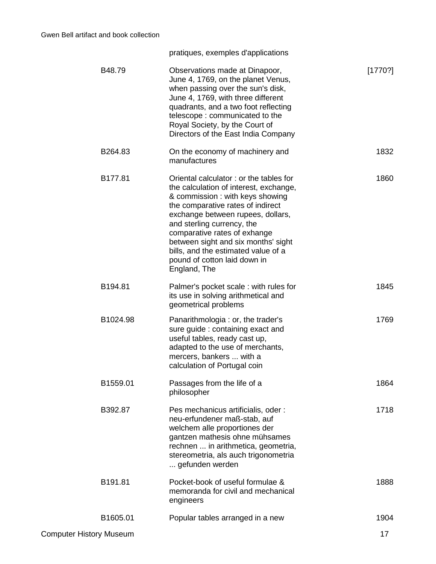pratiques, exemples d'applications

| B48.79                         | Observations made at Dinapoor,<br>June 4, 1769, on the planet Venus,<br>when passing over the sun's disk,<br>June 4, 1769, with three different<br>quadrants, and a two foot reflecting<br>telescope: communicated to the<br>Royal Society, by the Court of<br>Directors of the East India Company                                                                                        | [1770?] |
|--------------------------------|-------------------------------------------------------------------------------------------------------------------------------------------------------------------------------------------------------------------------------------------------------------------------------------------------------------------------------------------------------------------------------------------|---------|
| B264.83                        | On the economy of machinery and<br>manufactures                                                                                                                                                                                                                                                                                                                                           | 1832    |
| B177.81                        | Oriental calculator: or the tables for<br>the calculation of interest, exchange,<br>& commission: with keys showing<br>the comparative rates of indirect<br>exchange between rupees, dollars,<br>and sterling currency, the<br>comparative rates of exhange<br>between sight and six months' sight<br>bills, and the estimated value of a<br>pound of cotton laid down in<br>England, The | 1860    |
| B194.81                        | Palmer's pocket scale: with rules for<br>its use in solving arithmetical and<br>geometrical problems                                                                                                                                                                                                                                                                                      | 1845    |
| B1024.98                       | Panarithmologia: or, the trader's<br>sure guide: containing exact and<br>useful tables, ready cast up,<br>adapted to the use of merchants,<br>mercers, bankers  with a<br>calculation of Portugal coin                                                                                                                                                                                    | 1769    |
| B1559.01                       | Passages from the life of a<br>philosopher                                                                                                                                                                                                                                                                                                                                                | 1864    |
| B392.87                        | Pes mechanicus artificialis, oder:<br>neu-erfundener maß-stab, auf<br>welchem alle proportiones der<br>gantzen mathesis ohne mühsames<br>rechnen  in arithmetica, geometria,<br>stereometria, als auch trigonometria<br>gefunden werden                                                                                                                                                   | 1718    |
| B191.81                        | Pocket-book of useful formulae &<br>memoranda for civil and mechanical<br>engineers                                                                                                                                                                                                                                                                                                       | 1888    |
| B1605.01                       | Popular tables arranged in a new                                                                                                                                                                                                                                                                                                                                                          | 1904    |
| <b>Computer History Museum</b> |                                                                                                                                                                                                                                                                                                                                                                                           | 17      |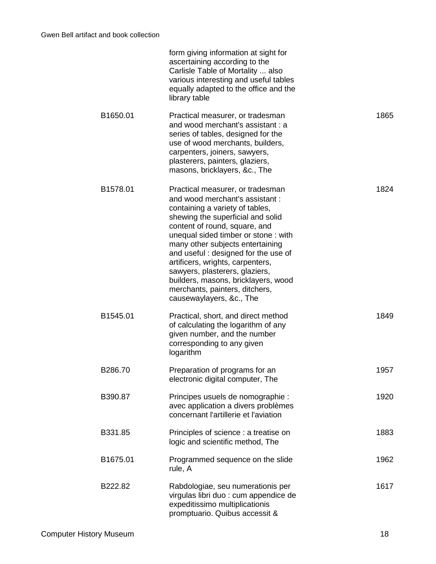|          | form giving information at sight for<br>ascertaining according to the<br>Carlisle Table of Mortality  also<br>various interesting and useful tables<br>equally adapted to the office and the<br>library table                                                                                                                                                                                                                                                            |      |
|----------|--------------------------------------------------------------------------------------------------------------------------------------------------------------------------------------------------------------------------------------------------------------------------------------------------------------------------------------------------------------------------------------------------------------------------------------------------------------------------|------|
| B1650.01 | Practical measurer, or tradesman<br>and wood merchant's assistant: a<br>series of tables, designed for the<br>use of wood merchants, builders,<br>carpenters, joiners, sawyers,<br>plasterers, painters, glaziers,<br>masons, bricklayers, &c., The                                                                                                                                                                                                                      | 1865 |
| B1578.01 | Practical measurer, or tradesman<br>and wood merchant's assistant:<br>containing a variety of tables,<br>shewing the superficial and solid<br>content of round, square, and<br>unequal sided timber or stone: with<br>many other subjects entertaining<br>and useful: designed for the use of<br>artificers, wrights, carpenters,<br>sawyers, plasterers, glaziers,<br>builders, masons, bricklayers, wood<br>merchants, painters, ditchers,<br>causewaylayers, &c., The | 1824 |
| B1545.01 | Practical, short, and direct method<br>of calculating the logarithm of any<br>given number, and the number<br>corresponding to any given<br>logarithm                                                                                                                                                                                                                                                                                                                    | 1849 |
| B286.70  | Preparation of programs for an<br>electronic digital computer, The                                                                                                                                                                                                                                                                                                                                                                                                       | 1957 |
| B390.87  | Principes usuels de nomographie :<br>avec application a divers problèmes<br>concernant l'artillerie et l'aviation                                                                                                                                                                                                                                                                                                                                                        | 1920 |
| B331.85  | Principles of science : a treatise on<br>logic and scientific method, The                                                                                                                                                                                                                                                                                                                                                                                                | 1883 |
| B1675.01 | Programmed sequence on the slide<br>rule, A                                                                                                                                                                                                                                                                                                                                                                                                                              | 1962 |
| B222.82  | Rabdologiae, seu numerationis per<br>virgulas libri duo : cum appendice de<br>expeditissimo multiplicationis<br>promptuario. Quibus accessit &                                                                                                                                                                                                                                                                                                                           | 1617 |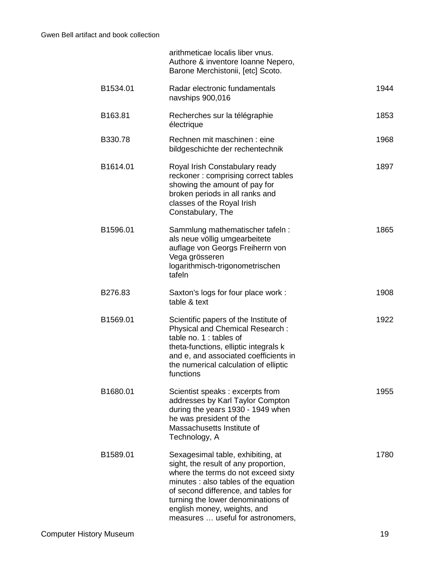|          | arithmeticae localis liber vnus.<br>Authore & inventore Ioanne Nepero,<br>Barone Merchistonii, [etc] Scoto.                                                                                                                                                                                                 |      |
|----------|-------------------------------------------------------------------------------------------------------------------------------------------------------------------------------------------------------------------------------------------------------------------------------------------------------------|------|
| B1534.01 | Radar electronic fundamentals<br>navships 900,016                                                                                                                                                                                                                                                           | 1944 |
| B163.81  | Recherches sur la télégraphie<br>électrique                                                                                                                                                                                                                                                                 | 1853 |
| B330.78  | Rechnen mit maschinen : eine<br>bildgeschichte der rechentechnik                                                                                                                                                                                                                                            | 1968 |
| B1614.01 | Royal Irish Constabulary ready<br>reckoner: comprising correct tables<br>showing the amount of pay for<br>broken periods in all ranks and<br>classes of the Royal Irish<br>Constabulary, The                                                                                                                | 1897 |
| B1596.01 | Sammlung mathematischer tafeln:<br>als neue völlig umgearbeitete<br>auflage von Georgs Freiherrn von<br>Vega grösseren<br>logarithmisch-trigonometrischen<br>tafeln                                                                                                                                         | 1865 |
| B276.83  | Saxton's logs for four place work :<br>table & text                                                                                                                                                                                                                                                         | 1908 |
| B1569.01 | Scientific papers of the Institute of<br>Physical and Chemical Research:<br>table no. 1 : tables of<br>theta-functions, elliptic integrals k<br>and e, and associated coefficients in<br>the numerical calculation of elliptic<br>functions                                                                 | 1922 |
| B1680.01 | Scientist speaks: excerpts from<br>addresses by Karl Taylor Compton<br>during the years 1930 - 1949 when<br>he was president of the<br>Massachusetts Institute of<br>Technology, A                                                                                                                          | 1955 |
| B1589.01 | Sexagesimal table, exhibiting, at<br>sight, the result of any proportion,<br>where the terms do not exceed sixty<br>minutes : also tables of the equation<br>of second difference, and tables for<br>turning the lower denominations of<br>english money, weights, and<br>measures  useful for astronomers, | 1780 |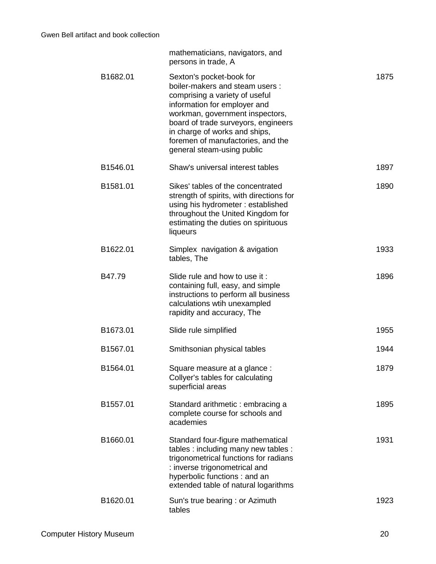|          | mathematicians, navigators, and<br>persons in trade, A                                                                                                                                                                                                                                                     |      |
|----------|------------------------------------------------------------------------------------------------------------------------------------------------------------------------------------------------------------------------------------------------------------------------------------------------------------|------|
| B1682.01 | Sexton's pocket-book for<br>boiler-makers and steam users:<br>comprising a variety of useful<br>information for employer and<br>workman, government inspectors,<br>board of trade surveyors, engineers<br>in charge of works and ships,<br>foremen of manufactories, and the<br>general steam-using public | 1875 |
| B1546.01 | Shaw's universal interest tables                                                                                                                                                                                                                                                                           | 1897 |
| B1581.01 | Sikes' tables of the concentrated<br>strength of spirits, with directions for<br>using his hydrometer: established<br>throughout the United Kingdom for<br>estimating the duties on spirituous<br>liqueurs                                                                                                 | 1890 |
| B1622.01 | Simplex navigation & avigation<br>tables, The                                                                                                                                                                                                                                                              | 1933 |
| B47.79   | Slide rule and how to use it:<br>containing full, easy, and simple<br>instructions to perform all business<br>calculations wtih unexampled<br>rapidity and accuracy, The                                                                                                                                   | 1896 |
| B1673.01 | Slide rule simplified                                                                                                                                                                                                                                                                                      | 1955 |
| B1567.01 | Smithsonian physical tables                                                                                                                                                                                                                                                                                | 1944 |
| B1564.01 | Square measure at a glance :<br>Collyer's tables for calculating<br>superficial areas                                                                                                                                                                                                                      | 1879 |
| B1557.01 | Standard arithmetic: embracing a<br>complete course for schools and<br>academies                                                                                                                                                                                                                           | 1895 |
| B1660.01 | Standard four-figure mathematical<br>tables : including many new tables :<br>trigonometrical functions for radians<br>: inverse trigonometrical and<br>hyperbolic functions: and an<br>extended table of natural logarithms                                                                                | 1931 |
| B1620.01 | Sun's true bearing : or Azimuth<br>tables                                                                                                                                                                                                                                                                  | 1923 |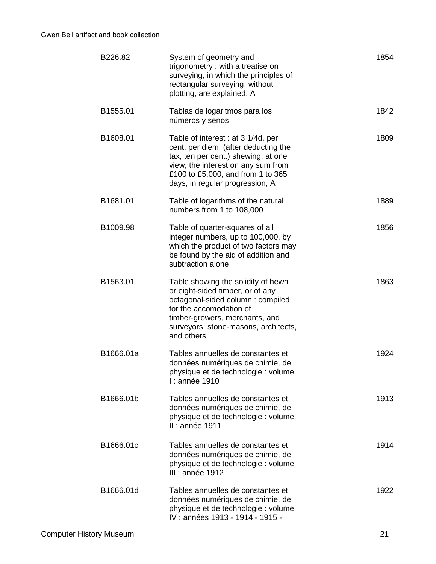| B226.82   | System of geometry and<br>trigonometry: with a treatise on<br>surveying, in which the principles of<br>rectangular surveying, without<br>plotting, are explained, A                                                             | 1854 |
|-----------|---------------------------------------------------------------------------------------------------------------------------------------------------------------------------------------------------------------------------------|------|
| B1555.01  | Tablas de logaritmos para los<br>números y senos                                                                                                                                                                                | 1842 |
| B1608.01  | Table of interest : at 3 1/4d. per<br>cent. per diem, (after deducting the<br>tax, ten per cent.) shewing, at one<br>view, the interest on any sum from<br>£100 to £5,000, and from 1 to 365<br>days, in regular progression, A | 1809 |
| B1681.01  | Table of logarithms of the natural<br>numbers from 1 to 108,000                                                                                                                                                                 | 1889 |
| B1009.98  | Table of quarter-squares of all<br>integer numbers, up to 100,000, by<br>which the product of two factors may<br>be found by the aid of addition and<br>subtraction alone                                                       | 1856 |
| B1563.01  | Table showing the solidity of hewn<br>or eight-sided timber, or of any<br>octagonal-sided column : compiled<br>for the accomodation of<br>timber-growers, merchants, and<br>surveyors, stone-masons, architects,<br>and others  | 1863 |
| B1666.01a | Tables annuelles de constantes et<br>données numériques de chimie, de<br>physique et de technologie : volume<br>I : année 1910                                                                                                  | 1924 |
| B1666.01b | Tables annuelles de constantes et<br>données numériques de chimie, de<br>physique et de technologie : volume<br>II : année 1911                                                                                                 | 1913 |
| B1666.01c | Tables annuelles de constantes et<br>données numériques de chimie, de<br>physique et de technologie : volume<br>III : année 1912                                                                                                | 1914 |
| B1666.01d | Tables annuelles de constantes et<br>données numériques de chimie, de<br>physique et de technologie : volume<br>IV: années 1913 - 1914 - 1915 -                                                                                 | 1922 |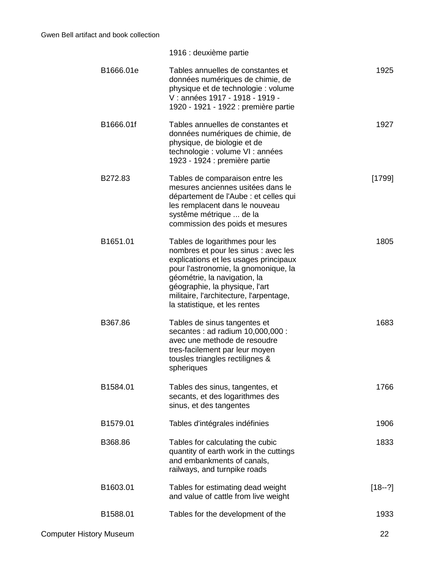|           | 1916 : deuxième partie                                                                                                                                                                                                                                                                                |          |
|-----------|-------------------------------------------------------------------------------------------------------------------------------------------------------------------------------------------------------------------------------------------------------------------------------------------------------|----------|
| B1666.01e | Tables annuelles de constantes et<br>données numériques de chimie, de<br>physique et de technologie : volume<br>V : années 1917 - 1918 - 1919 -<br>1920 - 1921 - 1922 : première partie                                                                                                               | 1925     |
| B1666.01f | Tables annuelles de constantes et<br>données numériques de chimie, de<br>physique, de biologie et de<br>technologie : volume VI : années<br>1923 - 1924 : première partie                                                                                                                             | 1927     |
| B272.83   | Tables de comparaison entre les<br>mesures anciennes usitées dans le<br>département de l'Aube : et celles qui<br>les remplacent dans le nouveau<br>systême métrique  de la<br>commission des poids et mesures                                                                                         | [1799]   |
| B1651.01  | Tables de logarithmes pour les<br>nombres et pour les sinus : avec les<br>explications et les usages principaux<br>pour l'astronomie, la gnomonique, la<br>géométrie, la navigation, la<br>géographie, la physique, l'art<br>militaire, l'architecture, l'arpentage,<br>la statistique, et les rentes | 1805     |
| B367.86   | Tables de sinus tangentes et<br>secantes : ad radium 10,000,000 :<br>avec une methode de resoudre<br>tres-facilement par leur moyen<br>tousles triangles rectilignes &<br>spheriques                                                                                                                  | 1683     |
| B1584.01  | Tables des sinus, tangentes, et<br>secants, et des logarithmes des<br>sinus, et des tangentes                                                                                                                                                                                                         | 1766     |
| B1579.01  | Tables d'intégrales indéfinies                                                                                                                                                                                                                                                                        | 1906     |
| B368.86   | Tables for calculating the cubic<br>quantity of earth work in the cuttings<br>and embankments of canals,<br>railways, and turnpike roads                                                                                                                                                              | 1833     |
| B1603.01  | Tables for estimating dead weight<br>and value of cattle from live weight                                                                                                                                                                                                                             | $[18-2]$ |
| B1588.01  | Tables for the development of the                                                                                                                                                                                                                                                                     | 1933     |
|           |                                                                                                                                                                                                                                                                                                       |          |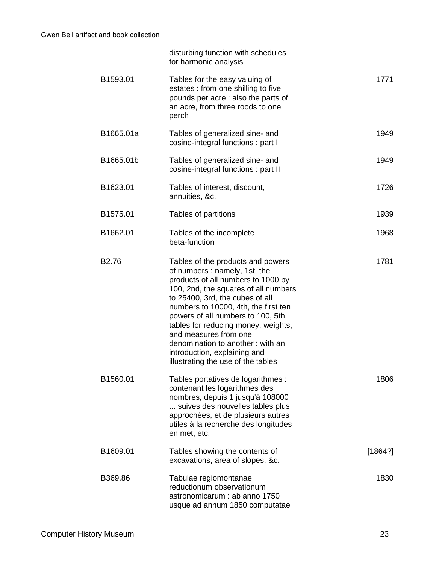|                   | disturbing function with schedules<br>for harmonic analysis                                                                                                                                                                                                                                                                                                                                                                                 |         |
|-------------------|---------------------------------------------------------------------------------------------------------------------------------------------------------------------------------------------------------------------------------------------------------------------------------------------------------------------------------------------------------------------------------------------------------------------------------------------|---------|
| B1593.01          | Tables for the easy valuing of<br>estates : from one shilling to five<br>pounds per acre : also the parts of<br>an acre, from three roods to one<br>perch                                                                                                                                                                                                                                                                                   | 1771    |
| B1665.01a         | Tables of generalized sine- and<br>cosine-integral functions: part I                                                                                                                                                                                                                                                                                                                                                                        | 1949    |
| B1665.01b         | Tables of generalized sine- and<br>cosine-integral functions : part II                                                                                                                                                                                                                                                                                                                                                                      | 1949    |
| B1623.01          | Tables of interest, discount,<br>annuities, &c.                                                                                                                                                                                                                                                                                                                                                                                             | 1726    |
| B1575.01          | Tables of partitions                                                                                                                                                                                                                                                                                                                                                                                                                        | 1939    |
| B1662.01          | Tables of the incomplete<br>beta-function                                                                                                                                                                                                                                                                                                                                                                                                   | 1968    |
| B <sub>2.76</sub> | Tables of the products and powers<br>of numbers : namely, 1st, the<br>products of all numbers to 1000 by<br>100, 2nd, the squares of all numbers<br>to 25400, 3rd, the cubes of all<br>numbers to 10000, 4th, the first ten<br>powers of all numbers to 100, 5th,<br>tables for reducing money, weights,<br>and measures from one<br>denomination to another: with an<br>introduction, explaining and<br>illustrating the use of the tables | 1781    |
| B1560.01          | Tables portatives de logarithmes :<br>contenant les logarithmes des<br>nombres, depuis 1 jusqu'à 108000<br>suives des nouvelles tables plus<br>approchées, et de plusieurs autres<br>utiles à la recherche des longitudes<br>en met, etc.                                                                                                                                                                                                   | 1806    |
| B1609.01          | Tables showing the contents of<br>excavations, area of slopes, &c.                                                                                                                                                                                                                                                                                                                                                                          | [1864?] |
| B369.86           | Tabulae regiomontanae<br>reductionum observationum<br>astronomicarum : ab anno 1750<br>usque ad annum 1850 computatae                                                                                                                                                                                                                                                                                                                       | 1830    |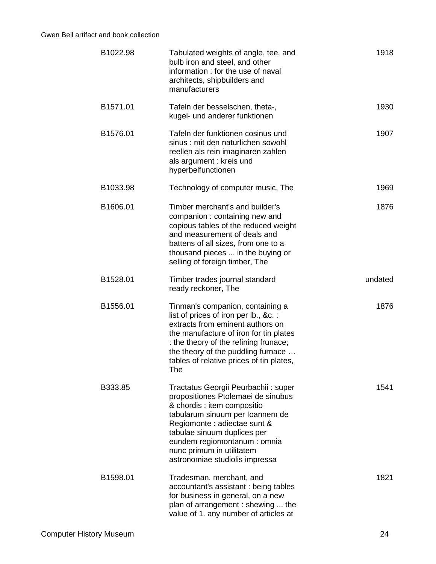| B1022.98 | Tabulated weights of angle, tee, and<br>bulb iron and steel, and other<br>information : for the use of naval<br>architects, shipbuilders and<br>manufacturers                                                                                                                                             | 1918    |
|----------|-----------------------------------------------------------------------------------------------------------------------------------------------------------------------------------------------------------------------------------------------------------------------------------------------------------|---------|
| B1571.01 | Tafeln der besselschen, theta-,<br>kugel- und anderer funktionen                                                                                                                                                                                                                                          | 1930    |
| B1576.01 | Tafeln der funktionen cosinus und<br>sinus: mit den naturlichen sowohl<br>reellen als rein imaginaren zahlen<br>als argument : kreis und<br>hyperbelfunctionen                                                                                                                                            | 1907    |
| B1033.98 | Technology of computer music, The                                                                                                                                                                                                                                                                         | 1969    |
| B1606.01 | Timber merchant's and builder's<br>companion : containing new and<br>copious tables of the reduced weight<br>and measurement of deals and<br>battens of all sizes, from one to a<br>thousand pieces  in the buying or<br>selling of foreign timber, The                                                   | 1876    |
| B1528.01 | Timber trades journal standard<br>ready reckoner, The                                                                                                                                                                                                                                                     | undated |
| B1556.01 | Tinman's companion, containing a<br>list of prices of iron per lb., &c. :<br>extracts from eminent authors on<br>the manufacture of iron for tin plates<br>: the theory of the refining frunace;<br>the theory of the puddling furnace<br>tables of relative prices of tin plates,<br>The                 | 1876    |
| B333.85  | Tractatus Georgii Peurbachii: super<br>propositiones Ptolemaei de sinubus<br>& chordis : item compositio<br>tabularum sinuum per Ioannem de<br>Regiomonte : adiectae sunt &<br>tabulae sinuum duplices per<br>eundem regiomontanum : omnia<br>nunc primum in utilitatem<br>astronomiae studiolis impressa | 1541    |
| B1598.01 | Tradesman, merchant, and<br>accountant's assistant : being tables<br>for business in general, on a new<br>plan of arrangement: shewing  the<br>value of 1. any number of articles at                                                                                                                      | 1821    |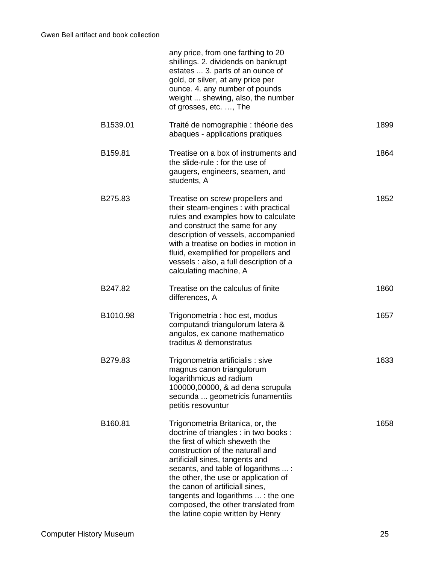|          | any price, from one farthing to 20<br>shillings. 2. dividends on bankrupt<br>estates  3. parts of an ounce of<br>gold, or silver, at any price per<br>ounce. 4. any number of pounds<br>weight  shewing, also, the number<br>of grosses, etc. , The                                                                                                                                                                             |  |
|----------|---------------------------------------------------------------------------------------------------------------------------------------------------------------------------------------------------------------------------------------------------------------------------------------------------------------------------------------------------------------------------------------------------------------------------------|--|
| B1539.01 | 1899<br>Traité de nomographie : théorie des<br>abaques - applications pratiques                                                                                                                                                                                                                                                                                                                                                 |  |
| B159.81  | Treatise on a box of instruments and<br>1864<br>the slide-rule : for the use of<br>gaugers, engineers, seamen, and<br>students, A                                                                                                                                                                                                                                                                                               |  |
| B275.83  | 1852<br>Treatise on screw propellers and<br>their steam-engines : with practical<br>rules and examples how to calculate<br>and construct the same for any<br>description of vessels, accompanied<br>with a treatise on bodies in motion in<br>fluid, exemplified for propellers and<br>vessels : also, a full description of a<br>calculating machine, A                                                                        |  |
| B247.82  | Treatise on the calculus of finite<br>1860<br>differences, A                                                                                                                                                                                                                                                                                                                                                                    |  |
| B1010.98 | 1657<br>Trigonometria : hoc est, modus<br>computandi triangulorum latera &<br>angulos, ex canone mathematico<br>traditus & demonstratus                                                                                                                                                                                                                                                                                         |  |
| B279.83  | 1633<br>Trigonometria artificialis : sive<br>magnus canon triangulorum<br>logarithmicus ad radium<br>100000,00000, & ad dena scrupula<br>secunda  geometricis funamentiis<br>petitis resovuntur                                                                                                                                                                                                                                 |  |
| B160.81  | Trigonometria Britanica, or, the<br>1658<br>doctrine of triangles : in two books :<br>the first of which sheweth the<br>construction of the naturall and<br>artificiall sines, tangents and<br>secants, and table of logarithms  :<br>the other, the use or application of<br>the canon of artificiall sines,<br>tangents and logarithms  : the one<br>composed, the other translated from<br>the latine copie written by Henry |  |
|          |                                                                                                                                                                                                                                                                                                                                                                                                                                 |  |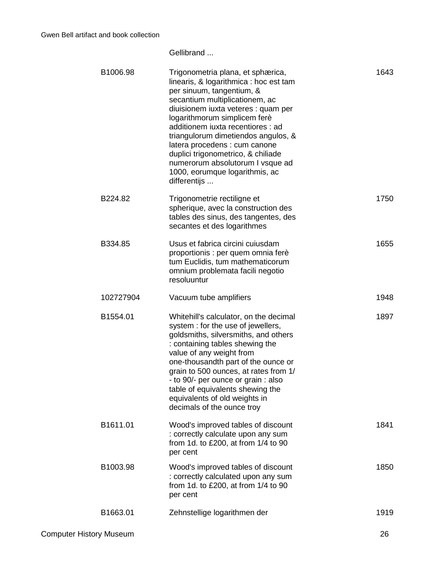Gellibrand ...

| B1006.98  | Trigonometria plana, et sphærica,<br>linearis, & logarithmica : hoc est tam<br>per sinuum, tangentium, &<br>secantium multiplicationem, ac<br>diuisionem iuxta veteres : quam per<br>logarithmorum simplicem ferè<br>additionem iuxta recentiores : ad<br>triangulorum dimetiendos angulos, &<br>latera procedens : cum canone<br>duplici trigonometrico, & chiliade<br>numerorum absolutorum I vsque ad<br>1000, eorumque logarithmis, ac<br>differentijs | 1643 |
|-----------|------------------------------------------------------------------------------------------------------------------------------------------------------------------------------------------------------------------------------------------------------------------------------------------------------------------------------------------------------------------------------------------------------------------------------------------------------------|------|
| B224.82   | Trigonometrie rectiligne et<br>spherique, avec la construction des<br>tables des sinus, des tangentes, des<br>secantes et des logarithmes                                                                                                                                                                                                                                                                                                                  | 1750 |
| B334.85   | Usus et fabrica circini cuiusdam<br>proportionis : per quem omnia ferè<br>tum Euclidis, tum mathematicorum<br>omnium problemata facili negotio<br>resoluuntur                                                                                                                                                                                                                                                                                              | 1655 |
| 102727904 | Vacuum tube amplifiers                                                                                                                                                                                                                                                                                                                                                                                                                                     | 1948 |
| B1554.01  | Whitehill's calculator, on the decimal<br>system : for the use of jewellers,<br>goldsmiths, silversmiths, and others<br>: containing tables shewing the<br>value of any weight from<br>one-thousandth part of the ounce or<br>grain to 500 ounces, at rates from 1/<br>- to 90/- per ounce or grain : also<br>table of equivalents shewing the<br>equivalents of old weights in<br>decimals of the ounce troy                                              | 1897 |
| B1611.01  | Wood's improved tables of discount<br>: correctly calculate upon any sum<br>from 1d. to £200, at from 1/4 to 90<br>per cent                                                                                                                                                                                                                                                                                                                                | 1841 |
| B1003.98  | Wood's improved tables of discount<br>: correctly calculated upon any sum<br>from 1d. to £200, at from 1/4 to 90<br>per cent                                                                                                                                                                                                                                                                                                                               | 1850 |
| B1663.01  | Zehnstellige logarithmen der                                                                                                                                                                                                                                                                                                                                                                                                                               | 1919 |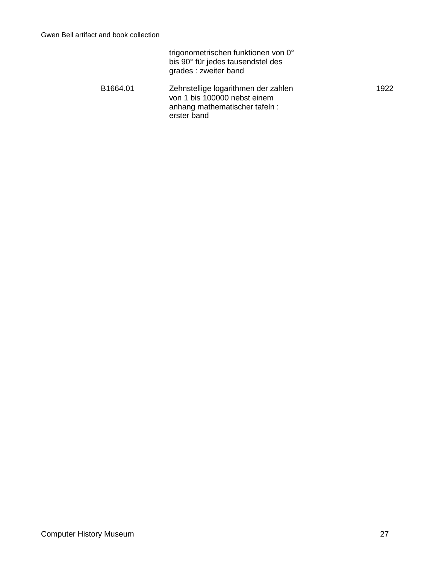|          | trigonometrischen funktionen von 0°<br>bis 90° für jedes tausendstel des<br>grades: zweiter band                    |      |
|----------|---------------------------------------------------------------------------------------------------------------------|------|
| B1664.01 | Zehnstellige logarithmen der zahlen<br>von 1 bis 100000 nebst einem<br>anhang mathematischer tafeln:<br>erster band | 1922 |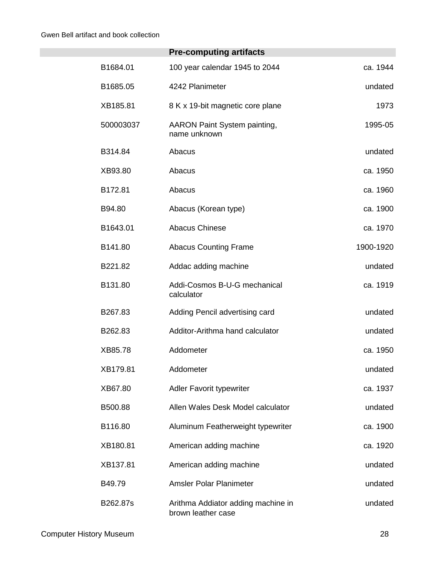|           | <b>Pre-computing artifacts</b>                           |           |
|-----------|----------------------------------------------------------|-----------|
| B1684.01  | 100 year calendar 1945 to 2044                           | ca. 1944  |
| B1685.05  | 4242 Planimeter                                          | undated   |
| XB185.81  | 8 K x 19-bit magnetic core plane                         | 1973      |
| 500003037 | <b>AARON Paint System painting,</b><br>name unknown      | 1995-05   |
| B314.84   | Abacus                                                   | undated   |
| XB93.80   | Abacus                                                   | ca. 1950  |
| B172.81   | Abacus                                                   | ca. 1960  |
| B94.80    | Abacus (Korean type)                                     | ca. 1900  |
| B1643.01  | <b>Abacus Chinese</b>                                    | ca. 1970  |
| B141.80   | <b>Abacus Counting Frame</b>                             | 1900-1920 |
| B221.82   | Addac adding machine                                     | undated   |
| B131.80   | Addi-Cosmos B-U-G mechanical<br>calculator               | ca. 1919  |
| B267.83   | Adding Pencil advertising card                           | undated   |
| B262.83   | Additor-Arithma hand calculator                          | undated   |
| XB85.78   | Addometer                                                | ca. 1950  |
| XB179.81  | Addometer                                                | undated   |
| XB67.80   | <b>Adler Favorit typewriter</b>                          | ca. 1937  |
| B500.88   | Allen Wales Desk Model calculator                        | undated   |
| B116.80   | Aluminum Featherweight typewriter                        | ca. 1900  |
| XB180.81  | American adding machine                                  | ca. 1920  |
| XB137.81  | American adding machine                                  | undated   |
| B49.79    | Amsler Polar Planimeter                                  | undated   |
| B262.87s  | Arithma Addiator adding machine in<br>brown leather case | undated   |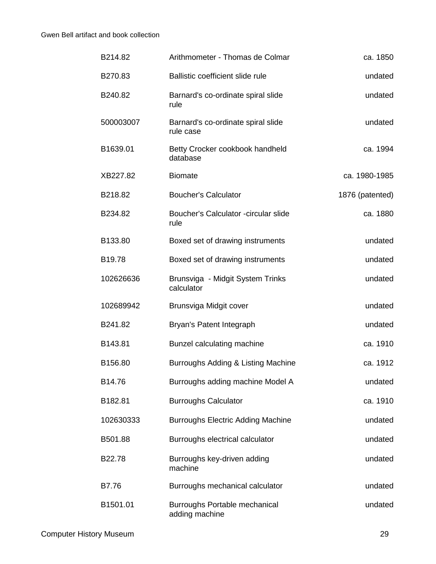| ca. 1850        | Arithmometer - Thomas de Colmar                 | B214.82   |
|-----------------|-------------------------------------------------|-----------|
| undated         | Ballistic coefficient slide rule                | B270.83   |
| undated         | Barnard's co-ordinate spiral slide<br>rule      | B240.82   |
| undated         | Barnard's co-ordinate spiral slide<br>rule case | 500003007 |
| ca. 1994        | Betty Crocker cookbook handheld<br>database     | B1639.01  |
| ca. 1980-1985   | <b>Biomate</b>                                  | XB227.82  |
| 1876 (patented) | <b>Boucher's Calculator</b>                     | B218.82   |
| ca. 1880        | Boucher's Calculator - circular slide<br>rule   | B234.82   |
| undated         | Boxed set of drawing instruments                | B133.80   |
| undated         | Boxed set of drawing instruments                | B19.78    |
| undated         | Brunsviga - Midgit System Trinks<br>calculator  | 102626636 |
| undated         | Brunsviga Midgit cover                          | 102689942 |
| undated         | Bryan's Patent Integraph                        | B241.82   |
| ca. 1910        | Bunzel calculating machine                      | B143.81   |
| ca. 1912        | Burroughs Adding & Listing Machine              | B156.80   |
| undated         | Burroughs adding machine Model A                | B14.76    |
| ca. 1910        | <b>Burroughs Calculator</b>                     | B182.81   |
| undated         | <b>Burroughs Electric Adding Machine</b>        | 102630333 |
| undated         | Burroughs electrical calculator                 | B501.88   |
| undated         | Burroughs key-driven adding<br>machine          | B22.78    |
| undated         | Burroughs mechanical calculator                 | B7.76     |
| undated         | Burroughs Portable mechanical<br>adding machine | B1501.01  |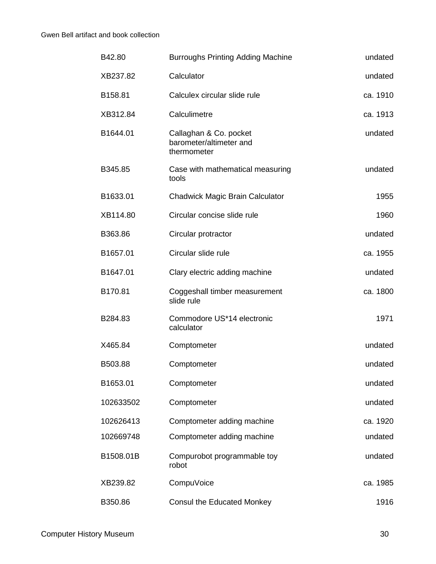| undated  | <b>Burroughs Printing Adding Machine</b>                         | B42.80    |
|----------|------------------------------------------------------------------|-----------|
| undated  | Calculator                                                       | XB237.82  |
| ca. 1910 | Calculex circular slide rule                                     | B158.81   |
| ca. 1913 | Calculimetre                                                     | XB312.84  |
| undated  | Callaghan & Co. pocket<br>barometer/altimeter and<br>thermometer | B1644.01  |
| undated  | Case with mathematical measuring<br>tools                        | B345.85   |
| 1955     | <b>Chadwick Magic Brain Calculator</b>                           | B1633.01  |
| 1960     | Circular concise slide rule                                      | XB114.80  |
| undated  | Circular protractor                                              | B363.86   |
| ca. 1955 | Circular slide rule                                              | B1657.01  |
| undated  | Clary electric adding machine                                    | B1647.01  |
| ca. 1800 | Coggeshall timber measurement<br>slide rule                      | B170.81   |
| 1971     | Commodore US*14 electronic<br>calculator                         | B284.83   |
| undated  | Comptometer                                                      | X465.84   |
| undated  | Comptometer                                                      | B503.88   |
| undated  | Comptometer                                                      | B1653.01  |
| undated  | Comptometer                                                      | 102633502 |
| ca. 1920 | Comptometer adding machine                                       | 102626413 |
| undated  | Comptometer adding machine                                       | 102669748 |
| undated  | Compurobot programmable toy<br>robot                             | B1508.01B |
| ca. 1985 | CompuVoice                                                       | XB239.82  |
| 1916     | <b>Consul the Educated Monkey</b>                                | B350.86   |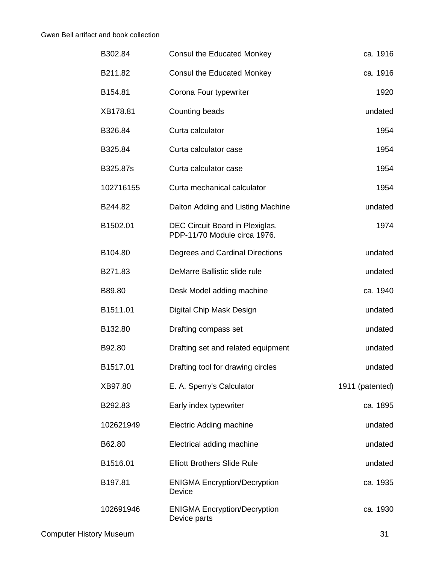| ca. 1916        | <b>Consul the Educated Monkey</b>                               | B302.84   |
|-----------------|-----------------------------------------------------------------|-----------|
| ca. 1916        | <b>Consul the Educated Monkey</b>                               | B211.82   |
| 1920            | Corona Four typewriter                                          | B154.81   |
| undated         | Counting beads                                                  | XB178.81  |
| 1954            | Curta calculator                                                | B326.84   |
| 1954            | Curta calculator case                                           | B325.84   |
| 1954            | Curta calculator case                                           | B325.87s  |
| 1954            | Curta mechanical calculator                                     | 102716155 |
| undated         | Dalton Adding and Listing Machine                               | B244.82   |
| 1974            | DEC Circuit Board in Plexiglas.<br>PDP-11/70 Module circa 1976. | B1502.01  |
| undated         | Degrees and Cardinal Directions                                 | B104.80   |
| undated         | DeMarre Ballistic slide rule                                    | B271.83   |
| ca. 1940        | Desk Model adding machine                                       | B89.80    |
| undated         | Digital Chip Mask Design                                        | B1511.01  |
| undated         | Drafting compass set                                            | B132.80   |
| undated         | Drafting set and related equipment                              | B92.80    |
| undated         | Drafting tool for drawing circles                               | B1517.01  |
| 1911 (patented) | E. A. Sperry's Calculator                                       | XB97.80   |
| ca. 1895        | Early index typewriter                                          | B292.83   |
| undated         | <b>Electric Adding machine</b>                                  | 102621949 |
| undated         | Electrical adding machine                                       | B62.80    |
| undated         | <b>Elliott Brothers Slide Rule</b>                              | B1516.01  |
| ca. 1935        | <b>ENIGMA Encryption/Decryption</b><br>Device                   | B197.81   |
| ca. 1930        | <b>ENIGMA Encryption/Decryption</b><br>Device parts             | 102691946 |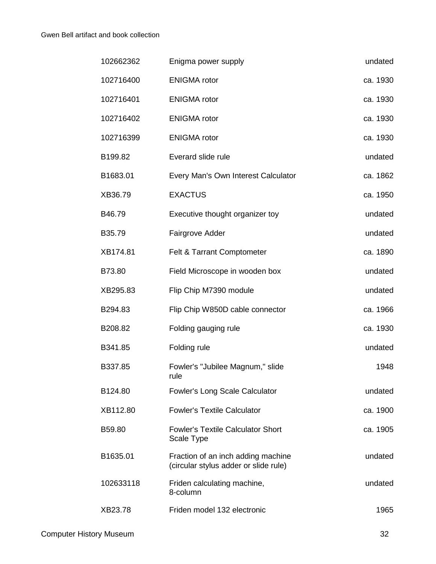| 102662362 | Enigma power supply                                                         | undated  |
|-----------|-----------------------------------------------------------------------------|----------|
| 102716400 | <b>ENIGMA</b> rotor                                                         | ca. 1930 |
| 102716401 | <b>ENIGMA</b> rotor                                                         | ca. 1930 |
| 102716402 | <b>ENIGMA</b> rotor                                                         | ca. 1930 |
| 102716399 | <b>ENIGMA</b> rotor                                                         | ca. 1930 |
| B199.82   | Everard slide rule                                                          | undated  |
| B1683.01  | Every Man's Own Interest Calculator                                         | ca. 1862 |
| XB36.79   | <b>EXACTUS</b>                                                              | ca. 1950 |
| B46.79    | Executive thought organizer toy                                             | undated  |
| B35.79    | Fairgrove Adder                                                             | undated  |
| XB174.81  | Felt & Tarrant Comptometer                                                  | ca. 1890 |
| B73.80    | Field Microscope in wooden box                                              | undated  |
| XB295.83  | Flip Chip M7390 module                                                      | undated  |
| B294.83   | Flip Chip W850D cable connector                                             | ca. 1966 |
| B208.82   | Folding gauging rule                                                        | ca. 1930 |
| B341.85   | Folding rule                                                                | undated  |
| B337.85   | Fowler's "Jubilee Magnum," slide<br>rule                                    | 1948     |
| B124.80   | <b>Fowler's Long Scale Calculator</b>                                       | undated  |
| XB112.80  | <b>Fowler's Textile Calculator</b>                                          | ca. 1900 |
| B59.80    | <b>Fowler's Textile Calculator Short</b><br>Scale Type                      | ca. 1905 |
| B1635.01  | Fraction of an inch adding machine<br>(circular stylus adder or slide rule) | undated  |
| 102633118 | Friden calculating machine,<br>8-column                                     | undated  |
| XB23.78   | Friden model 132 electronic                                                 | 1965     |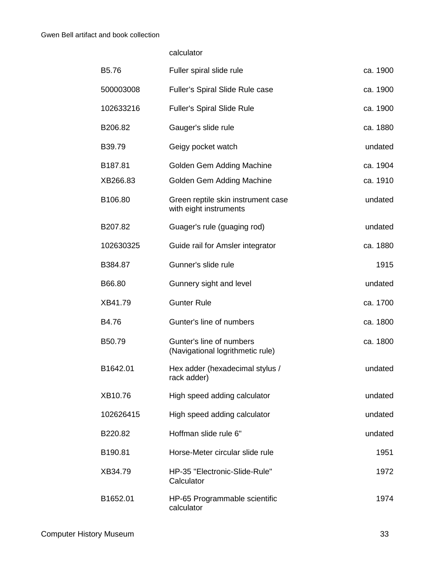calculator

| B5.76     | Fuller spiral slide rule                                     | ca. 1900 |
|-----------|--------------------------------------------------------------|----------|
| 500003008 | Fuller's Spiral Slide Rule case                              | ca. 1900 |
| 102633216 | <b>Fuller's Spiral Slide Rule</b>                            | ca. 1900 |
| B206.82   | Gauger's slide rule                                          | ca. 1880 |
| B39.79    | Geigy pocket watch                                           | undated  |
| B187.81   | Golden Gem Adding Machine                                    | ca. 1904 |
| XB266.83  | Golden Gem Adding Machine                                    | ca. 1910 |
| B106.80   | Green reptile skin instrument case<br>with eight instruments | undated  |
| B207.82   | Guager's rule (guaging rod)                                  | undated  |
| 102630325 | Guide rail for Amsler integrator                             | ca. 1880 |
| B384.87   | Gunner's slide rule                                          | 1915     |
| B66.80    | Gunnery sight and level                                      | undated  |
| XB41.79   | <b>Gunter Rule</b>                                           | ca. 1700 |
| B4.76     | Gunter's line of numbers                                     | ca. 1800 |
| B50.79    | Gunter's line of numbers<br>(Navigational logrithmetic rule) | ca. 1800 |
| B1642.01  | Hex adder (hexadecimal stylus /<br>rack adder)               | undated  |
| XB10.76   | High speed adding calculator                                 | undated  |
| 102626415 | High speed adding calculator                                 | undated  |
| B220.82   | Hoffman slide rule 6"                                        | undated  |
| B190.81   | Horse-Meter circular slide rule                              | 1951     |
| XB34.79   | HP-35 "Electronic-Slide-Rule"<br>Calculator                  | 1972     |
| B1652.01  | HP-65 Programmable scientific<br>calculator                  | 1974     |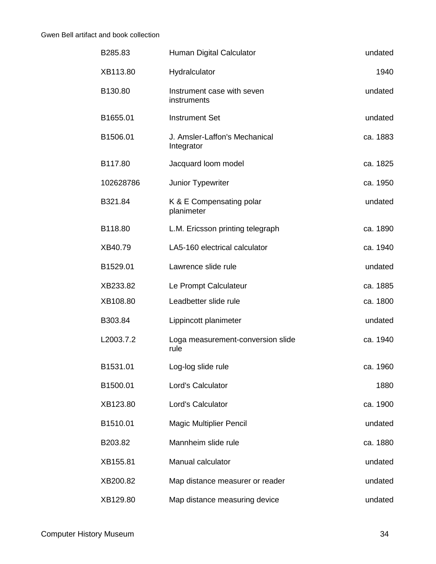| undated  | Human Digital Calculator                    | B285.83   |
|----------|---------------------------------------------|-----------|
| 1940     | Hydralculator                               | XB113.80  |
| undated  | Instrument case with seven<br>instruments   | B130.80   |
| undated  | <b>Instrument Set</b>                       | B1655.01  |
| ca. 1883 | J. Amsler-Laffon's Mechanical<br>Integrator | B1506.01  |
| ca. 1825 | Jacquard loom model                         | B117.80   |
| ca. 1950 | Junior Typewriter                           | 102628786 |
| undated  | K & E Compensating polar<br>planimeter      | B321.84   |
| ca. 1890 | L.M. Ericsson printing telegraph            | B118.80   |
| ca. 1940 | LA5-160 electrical calculator               | XB40.79   |
| undated  | Lawrence slide rule                         | B1529.01  |
| ca. 1885 | Le Prompt Calculateur                       | XB233.82  |
| ca. 1800 | Leadbetter slide rule                       | XB108.80  |
| undated  | Lippincott planimeter                       | B303.84   |
| ca. 1940 | Loga measurement-conversion slide<br>rule   | L2003.7.2 |
| ca. 1960 | Log-log slide rule                          | B1531.01  |
| 1880     | Lord's Calculator                           | B1500.01  |
| ca. 1900 | Lord's Calculator                           | XB123.80  |
| undated  | <b>Magic Multiplier Pencil</b>              | B1510.01  |
| ca. 1880 | Mannheim slide rule                         | B203.82   |
| undated  | Manual calculator                           | XB155.81  |
| undated  | Map distance measurer or reader             | XB200.82  |
| undated  | Map distance measuring device               | XB129.80  |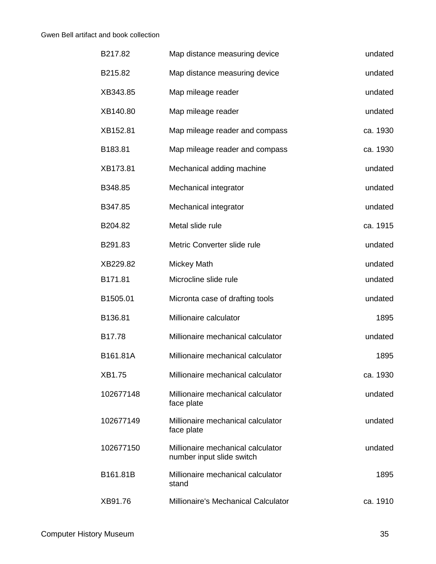| B217.82   | Map distance measuring device                                  | undated  |
|-----------|----------------------------------------------------------------|----------|
| B215.82   | Map distance measuring device                                  | undated  |
| XB343.85  | Map mileage reader                                             | undated  |
| XB140.80  | Map mileage reader                                             | undated  |
| XB152.81  | Map mileage reader and compass                                 | ca. 1930 |
| B183.81   | Map mileage reader and compass                                 | ca. 1930 |
| XB173.81  | Mechanical adding machine                                      | undated  |
| B348.85   | Mechanical integrator                                          | undated  |
| B347.85   | Mechanical integrator                                          | undated  |
| B204.82   | Metal slide rule                                               | ca. 1915 |
| B291.83   | Metric Converter slide rule                                    | undated  |
| XB229.82  | Mickey Math                                                    | undated  |
| B171.81   | Microcline slide rule                                          | undated  |
| B1505.01  | Micronta case of drafting tools                                | undated  |
| B136.81   | Millionaire calculator                                         | 1895     |
| B17.78    | Millionaire mechanical calculator                              | undated  |
| B161.81A  | Millionaire mechanical calculator                              | 1895     |
| XB1.75    | Millionaire mechanical calculator                              | ca. 1930 |
| 102677148 | Millionaire mechanical calculator<br>face plate                | undated  |
| 102677149 | Millionaire mechanical calculator<br>face plate                | undated  |
| 102677150 | Millionaire mechanical calculator<br>number input slide switch | undated  |
| B161.81B  | Millionaire mechanical calculator<br>stand                     | 1895     |
| XB91.76   | Millionaire's Mechanical Calculator                            | ca. 1910 |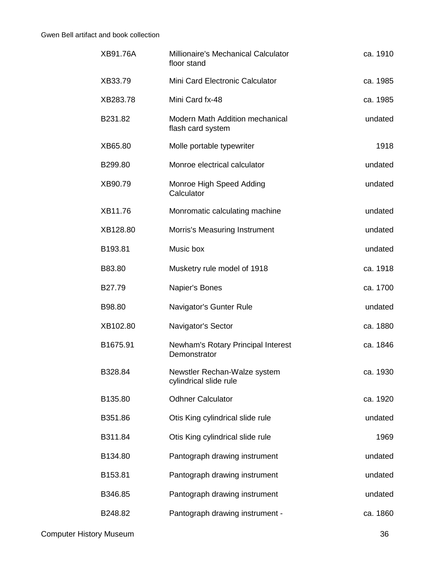| XB91.76A | Millionaire's Mechanical Calculator<br>floor stand          | ca. 1910 |
|----------|-------------------------------------------------------------|----------|
| XB33.79  | Mini Card Electronic Calculator                             | ca. 1985 |
| XB283.78 | Mini Card fx-48                                             | ca. 1985 |
| B231.82  | <b>Modern Math Addition mechanical</b><br>flash card system | undated  |
| XB65.80  | Molle portable typewriter                                   | 1918     |
| B299.80  | Monroe electrical calculator                                | undated  |
| XB90.79  | Monroe High Speed Adding<br>Calculator                      | undated  |
| XB11.76  | Monromatic calculating machine                              | undated  |
| XB128.80 | Morris's Measuring Instrument                               | undated  |
| B193.81  | Music box                                                   | undated  |
| B83.80   | Musketry rule model of 1918                                 | ca. 1918 |
| B27.79   | Napier's Bones                                              | ca. 1700 |
| B98.80   | Navigator's Gunter Rule                                     | undated  |
| XB102.80 | Navigator's Sector                                          | ca. 1880 |
| B1675.91 | Newham's Rotary Principal Interest<br>Demonstrator          | ca. 1846 |
| B328.84  | Newstler Rechan-Walze system<br>cylindrical slide rule      | ca. 1930 |
| B135.80  | <b>Odhner Calculator</b>                                    | ca. 1920 |
| B351.86  | Otis King cylindrical slide rule                            | undated  |
| B311.84  | Otis King cylindrical slide rule                            | 1969     |
| B134.80  | Pantograph drawing instrument                               | undated  |
| B153.81  | Pantograph drawing instrument                               | undated  |
| B346.85  | Pantograph drawing instrument                               | undated  |
| B248.82  | Pantograph drawing instrument -                             | ca. 1860 |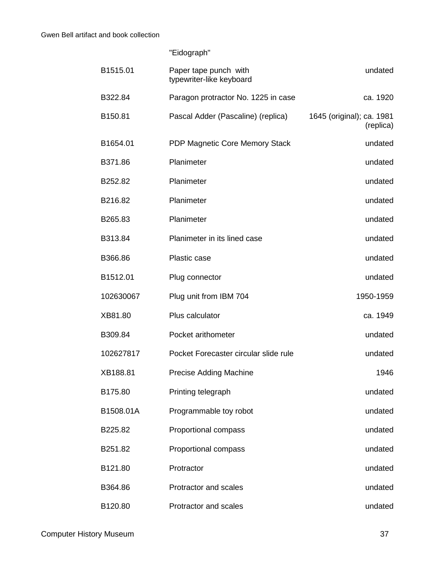"Eidograph"

| B1515.01  | Paper tape punch with<br>typewriter-like keyboard | undated                                |
|-----------|---------------------------------------------------|----------------------------------------|
| B322.84   | Paragon protractor No. 1225 in case               | ca. 1920                               |
| B150.81   | Pascal Adder (Pascaline) (replica)                | 1645 (original); ca. 1981<br>(replica) |
| B1654.01  | PDP Magnetic Core Memory Stack                    | undated                                |
| B371.86   | Planimeter                                        | undated                                |
| B252.82   | Planimeter                                        | undated                                |
| B216.82   | Planimeter                                        | undated                                |
| B265.83   | Planimeter                                        | undated                                |
| B313.84   | Planimeter in its lined case                      | undated                                |
| B366.86   | Plastic case                                      | undated                                |
| B1512.01  | Plug connector                                    | undated                                |
| 102630067 | Plug unit from IBM 704                            | 1950-1959                              |
| XB81.80   | Plus calculator                                   | ca. 1949                               |
| B309.84   | Pocket arithometer                                | undated                                |
| 102627817 | Pocket Forecaster circular slide rule             | undated                                |
| XB188.81  | <b>Precise Adding Machine</b>                     | 1946                                   |
| B175.80   | Printing telegraph                                | undated                                |
| B1508.01A | Programmable toy robot                            | undated                                |
| B225.82   | Proportional compass                              | undated                                |
| B251.82   | Proportional compass                              | undated                                |
| B121.80   | Protractor                                        | undated                                |
| B364.86   | Protractor and scales                             | undated                                |
| B120.80   | Protractor and scales                             | undated                                |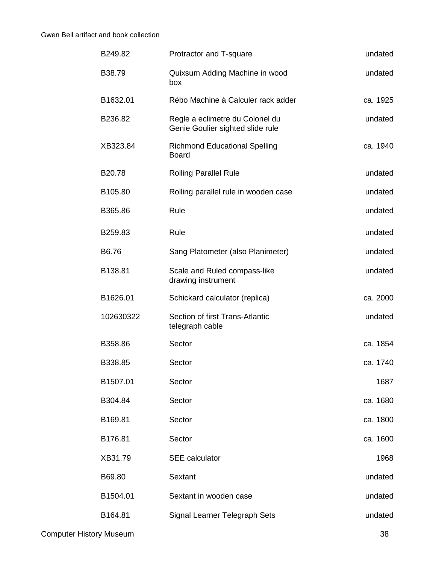| B249.82   | Protractor and T-square                                             | undated  |
|-----------|---------------------------------------------------------------------|----------|
| B38.79    | Quixsum Adding Machine in wood<br>box                               | undated  |
| B1632.01  | Rébo Machine à Calculer rack adder                                  | ca. 1925 |
| B236.82   | Regle a eclimetre du Colonel du<br>Genie Goulier sighted slide rule | undated  |
| XB323.84  | <b>Richmond Educational Spelling</b><br><b>Board</b>                | ca. 1940 |
| B20.78    | <b>Rolling Parallel Rule</b>                                        | undated  |
| B105.80   | Rolling parallel rule in wooden case                                | undated  |
| B365.86   | Rule                                                                | undated  |
| B259.83   | Rule                                                                | undated  |
| B6.76     | Sang Platometer (also Planimeter)                                   | undated  |
| B138.81   | Scale and Ruled compass-like<br>drawing instrument                  | undated  |
| B1626.01  | Schickard calculator (replica)                                      | ca. 2000 |
| 102630322 | Section of first Trans-Atlantic<br>telegraph cable                  | undated  |
| B358.86   | Sector                                                              | ca. 1854 |
| B338.85   | Sector                                                              | ca. 1740 |
| B1507.01  | Sector                                                              | 1687     |
| B304.84   | Sector                                                              | ca. 1680 |
| B169.81   | Sector                                                              | ca. 1800 |
| B176.81   | Sector                                                              | ca. 1600 |
| XB31.79   | <b>SEE</b> calculator                                               | 1968     |
| B69.80    | Sextant                                                             | undated  |
| B1504.01  | Sextant in wooden case                                              | undated  |
| B164.81   | Signal Learner Telegraph Sets                                       | undated  |
|           |                                                                     |          |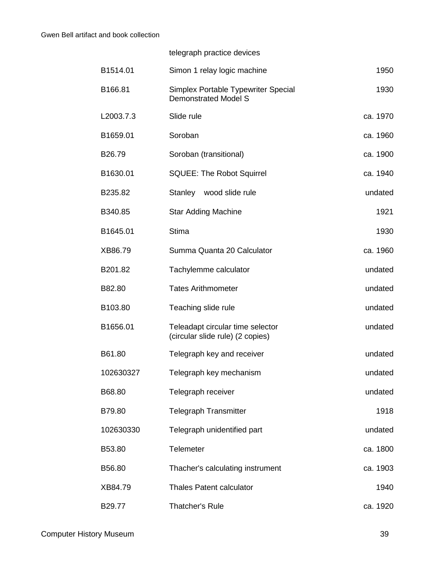telegraph practice devices

| B1514.01  | Simon 1 relay logic machine                                          | 1950     |
|-----------|----------------------------------------------------------------------|----------|
| B166.81   | Simplex Portable Typewriter Special<br><b>Demonstrated Model S</b>   | 1930     |
| L2003.7.3 | Slide rule                                                           | ca. 1970 |
| B1659.01  | Soroban                                                              | ca. 1960 |
| B26.79    | Soroban (transitional)                                               | ca. 1900 |
| B1630.01  | <b>SQUEE: The Robot Squirrel</b>                                     | ca. 1940 |
| B235.82   | wood slide rule<br>Stanley                                           | undated  |
| B340.85   | <b>Star Adding Machine</b>                                           | 1921     |
| B1645.01  | <b>Stima</b>                                                         | 1930     |
| XB86.79   | Summa Quanta 20 Calculator                                           | ca. 1960 |
| B201.82   | Tachylemme calculator                                                | undated  |
| B82.80    | <b>Tates Arithmometer</b>                                            | undated  |
| B103.80   | Teaching slide rule                                                  | undated  |
| B1656.01  | Teleadapt circular time selector<br>(circular slide rule) (2 copies) | undated  |
| B61.80    | Telegraph key and receiver                                           | undated  |
| 102630327 | Telegraph key mechanism                                              | undated  |
| B68.80    | Telegraph receiver                                                   | undated  |
| B79.80    | <b>Telegraph Transmitter</b>                                         | 1918     |
| 102630330 | Telegraph unidentified part                                          | undated  |
| B53.80    | Telemeter                                                            | ca. 1800 |
| B56.80    | Thacher's calculating instrument                                     | ca. 1903 |
| XB84.79   | <b>Thales Patent calculator</b>                                      | 1940     |
| B29.77    | Thatcher's Rule                                                      | ca. 1920 |